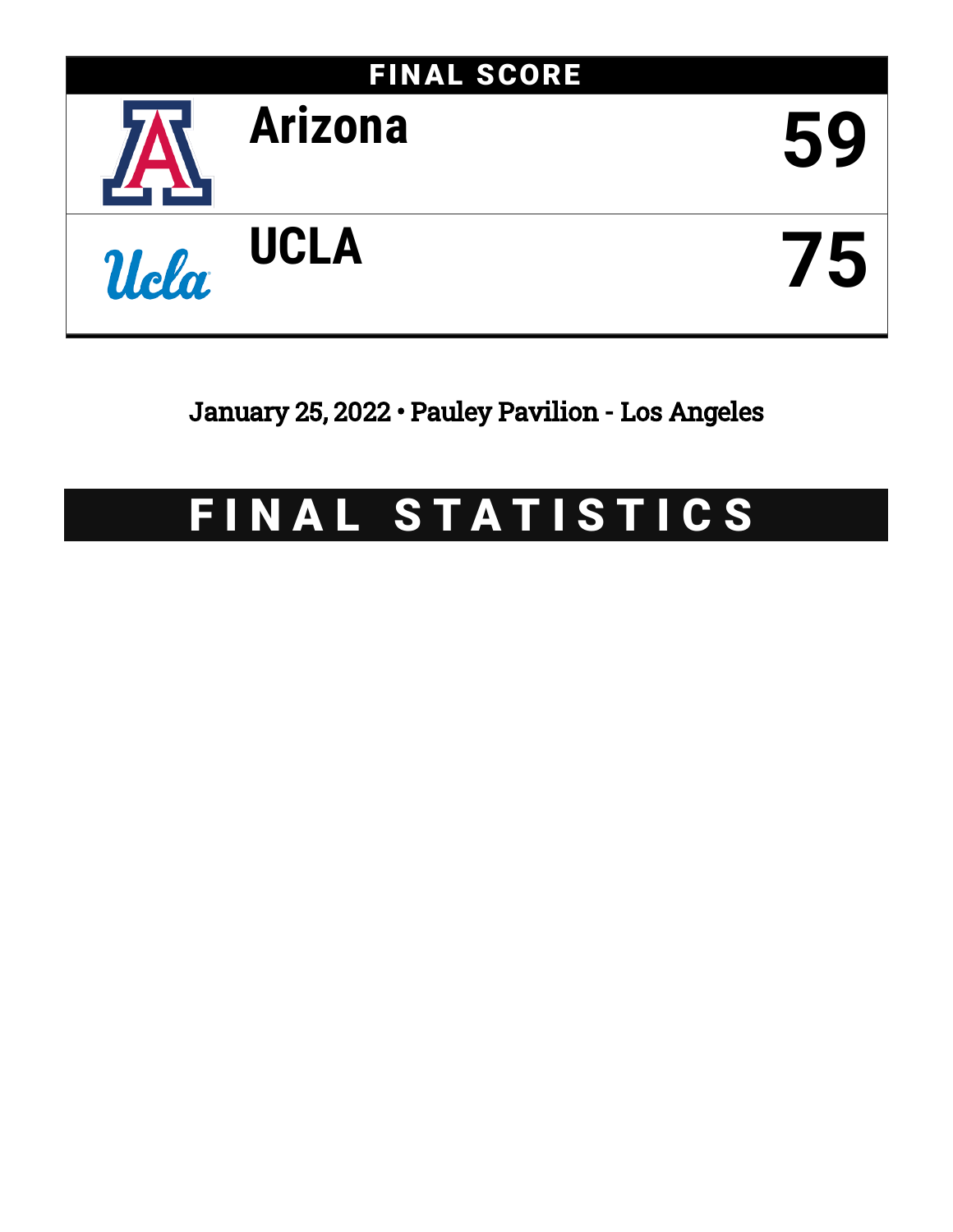

January 25, 2022 • Pauley Pavilion - Los Angeles

# FINAL STATISTICS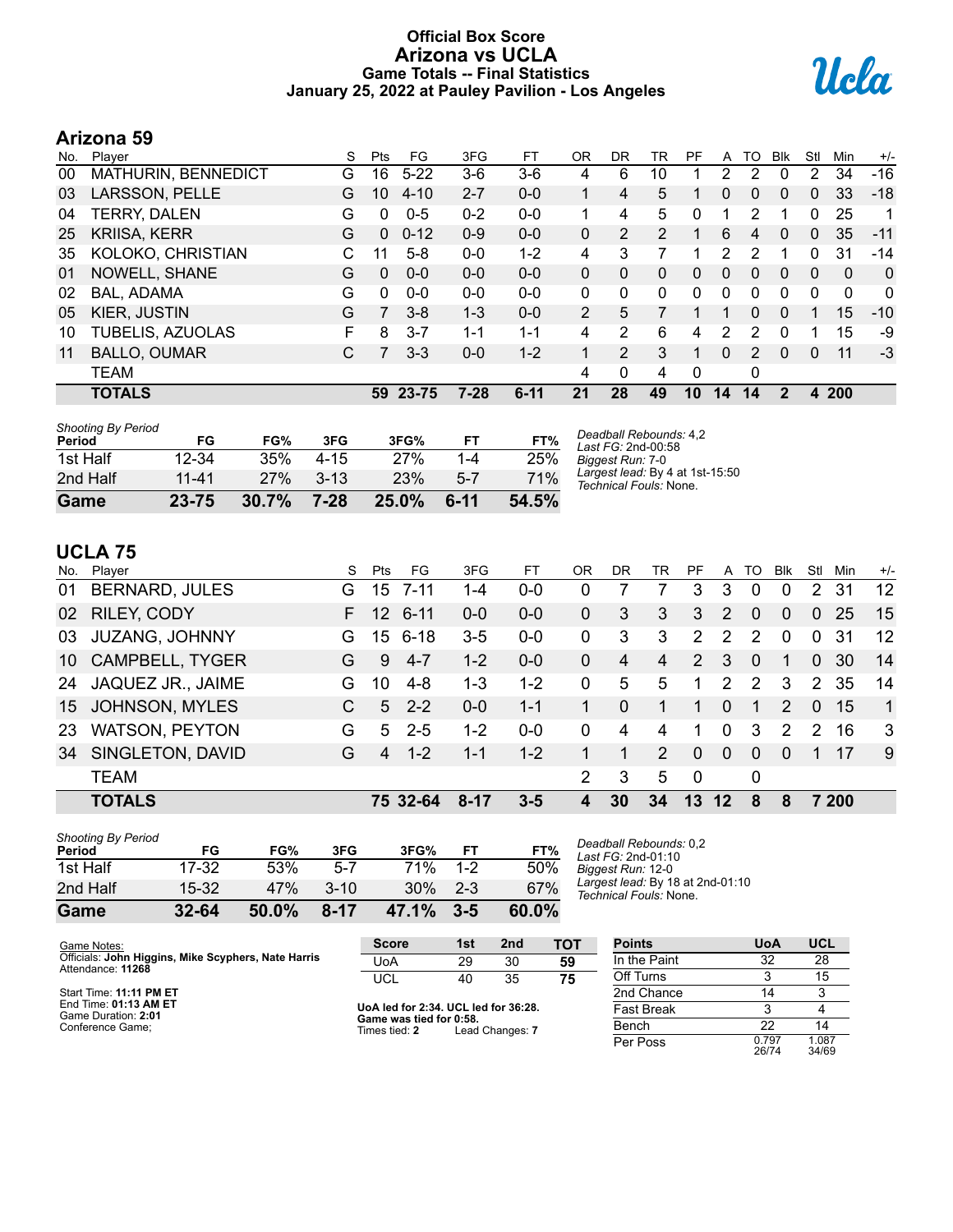# **Official Box Score Arizona vs UCLA Game Totals -- Final Statistics January 25, 2022 at Pauley Pavilion - Los Angeles**



# **Arizona 59**

| No. | Plaver              | S  | Pts      | FG       | 3FG      | FT.      | OR            | DR | TR             | PF | A            | TO            | <b>B</b> lk | Stl      | Min      | $+/-$        |
|-----|---------------------|----|----------|----------|----------|----------|---------------|----|----------------|----|--------------|---------------|-------------|----------|----------|--------------|
| 00  | MATHURIN, BENNEDICT | G  | 16       | $5 - 22$ | 3-6      | $3-6$    | 4             | 6  | 10             |    | 2            | 2             | 0           | 2        | 34       | $-16$        |
| 03  | LARSSON, PELLE      | G  | 10       | $4 - 10$ | $2 - 7$  | $0 - 0$  |               | 4  | 5              |    | 0            | 0             | 0           | 0        | 33       | $-18$        |
| 04  | <b>TERRY, DALEN</b> | G  | 0        | $0 - 5$  | $0 - 2$  | $0 - 0$  | 1             | 4  | 5              | 0  |              | 2             |             | 0        | 25       | 1            |
| 25  | <b>KRIISA, KERR</b> | G  | $\Omega$ | $0 - 12$ | $0 - 9$  | $0 - 0$  | 0             | 2  | $\overline{2}$ | 1  | 6            | 4             | $\Omega$    | 0        | 35       | $-11$        |
| 35  | KOLOKO, CHRISTIAN   | C. | 11       | $5-8$    | $0 - 0$  | $1 - 2$  | 4             | 3  |                | 1  | 2            | 2             | 1           | $\Omega$ | 31       | $-14$        |
| 01  | NOWELL, SHANE       | G  | $\Omega$ | $0 - 0$  | $0 - 0$  | $0 - 0$  | 0             | 0  | $\Omega$       | 0  | $\mathbf{0}$ | $\Omega$      | $\Omega$    | $\Omega$ | $\Omega$ | $\mathbf{0}$ |
| 02  | BAL, ADAMA          | G  | 0        | $0 - 0$  | $0 - 0$  | $0 - 0$  | 0             | 0  | $\Omega$       | 0  | 0            | $\Omega$      | $\Omega$    | 0        | $\Omega$ | 0            |
| 05  | KIER, JUSTIN        | G  | 7        | $3 - 8$  | $1 - 3$  | $0 - 0$  | $\mathcal{P}$ | 5  |                |    |              | 0             | $\Omega$    |          | 15       | $-10$        |
| 10  | TUBELIS, AZUOLAS    | F. | 8        | $3 - 7$  | $1 - 1$  | $1 - 1$  | 4             | 2  | 6              | 4  | 2            | 2             | $\Omega$    |          | 15       | -9           |
| 11  | <b>BALLO, OUMAR</b> | С  |          | $3 - 3$  | $0 - 0$  | $1 - 2$  |               | 2  | 3              |    | $\mathbf{0}$ | $\mathcal{P}$ | $\Omega$    | 0        | 11       | $-3$         |
|     | <b>TEAM</b>         |    |          |          |          |          | 4             | 0  | 4              | 0  |              | 0             |             |          |          |              |
|     | <b>TOTALS</b>       |    | 59       | 23-75    | $7 - 28$ | $6 - 11$ | 21            | 28 | 49             | 10 | 14           | 14            | 2           | 4        | 200      |              |

| <b>Shooting By Period</b><br>Period | FG        | FG%   | 3FG      | 3FG%     | FT      | FT%   | Deadball Rebounds: 4,2<br>Last FG: 2nd-00:58              |
|-------------------------------------|-----------|-------|----------|----------|---------|-------|-----------------------------------------------------------|
| 1st Half                            | $12 - 34$ | 35%   | $4 - 15$ | 27%      | $1 - 4$ | 25%   | Biggest Run: 7-0                                          |
| 2nd Half                            | $11 - 41$ | 27%   | $3 - 13$ | 23%      | $5 - 7$ | 71%   | Largest lead: By 4 at 1st-15:50<br>Technical Fouls: None. |
| Game                                | 23-75     | 30.7% | 7-28     | $25.0\%$ | $6-11$  | 54.5% |                                                           |

# **UCLA 75**

| No. | Player                 | S  | Pts             | FG       | 3FG      | FT      | 0R       | DR       | TR | PF.            | A        | TO.            | <b>B</b> lk   | Stl           | Min   | $+/-$        |
|-----|------------------------|----|-----------------|----------|----------|---------|----------|----------|----|----------------|----------|----------------|---------------|---------------|-------|--------------|
| 01  | <b>BERNARD, JULES</b>  | G. | 15              | 7-11     | 1-4      | $0-0$   | 0        |          |    | 3              | 3        | 0              | 0             | 2             | 31    | 12           |
| 02  | RILEY, CODY            | F. | 12              | $6 - 11$ | $0 - 0$  | $0 - 0$ | 0        | 3        | 3  | 3              | 2        | 0              | $\Omega$      | $\Omega$      | 25    | 15           |
| 03  | <b>JUZANG, JOHNNY</b>  | G. | 15 <sub>1</sub> | 6-18     | $3-5$    | $0 - 0$ | $\Omega$ | 3        | 3  | $\overline{2}$ | 2        | 2              | $\Omega$      | $\Omega$      | -31   | 12           |
| 10  | <b>CAMPBELL, TYGER</b> | G  | 9               | $4 - 7$  | $1 - 2$  | $0 - 0$ | $\Omega$ | 4        | 4  | 2              | 3        | $\overline{0}$ | 1             | $\Omega$      | 30    | 14           |
| 24  | JAQUEZ JR., JAIME      | G. | 10              | $4 - 8$  | $1 - 3$  | $1 - 2$ | 0        | 5        | 5  | 1              | 2        | $\mathcal{P}$  | 3             | 2             | 35    | 14           |
| 15  | <b>JOHNSON, MYLES</b>  | C. | 5               | $2 - 2$  | $0 - 0$  | $1 - 1$ |          | $\Omega$ |    | 1              | $\Omega$ | 1              | $\mathcal{P}$ | $\Omega$      | 15    | $\mathbf{1}$ |
| 23  | <b>WATSON, PEYTON</b>  | G  | 5               | $2 - 5$  | $1-2$    | $0 - 0$ | $\Omega$ | 4        | 4  | 1              | $\Omega$ | 3              | $\mathcal{P}$ | $\mathcal{P}$ | 16    | 3            |
| 34  | SINGLETON, DAVID       | G  | 4               | $1 - 2$  | 1-1      | $1 - 2$ |          |          | 2  | $\mathbf{0}$   | $\Omega$ | $\Omega$       | $\Omega$      | 1             | 17    | 9            |
|     | <b>TEAM</b>            |    |                 |          |          |         | 2        | 3        | 5  | $\Omega$       |          | 0              |               |               |       |              |
|     | <b>TOTALS</b>          |    |                 | 75 32-64 | $8 - 17$ | $3 - 5$ | 4        | 30       | 34 | 13             | $12 \,$  | 8              | 8             |               | 7 200 |              |
|     |                        |    |                 |          |          |         |          |          |    |                |          |                |               |               |       |              |

| Game                                | $32 - 64$ | 50.0% | $8 - 17$ | 47.1% | $3 - 5$ | 60.0% |
|-------------------------------------|-----------|-------|----------|-------|---------|-------|
| 2nd Half                            | $15-32$   | 47%   | $3 - 10$ | 30%   | $2-3$   | 67%   |
| 1st Half                            | 17-32     | 53%   | 5-7      | 71%   | $1-2$   | 50%   |
| <b>Shooting By Period</b><br>Period | FG        | FG%   | 3FG      | 3FG%  | FT      | FT%   |

*Deadball Rebounds:* 0,2 *Last FG:* 2nd-01:10 *Biggest Run:* 12-0 *Largest lead:* By 18 at 2nd-01:10 *Technical Fouls:* None.

| Game Notes:                                                              | <b>Score</b>                             | 1st | 2 <sub>nd</sub> | тот               | <b>Points</b> | <b>UoA</b>     | <b>UCL</b>     |
|--------------------------------------------------------------------------|------------------------------------------|-----|-----------------|-------------------|---------------|----------------|----------------|
| Officials: John Higgins, Mike Scyphers, Nate Harris<br>Attendance: 11268 | UoA                                      | 29  | 30              | 59                | In the Paint  | 32             | 28             |
|                                                                          | UCL                                      | 40  | 35              | 75                | Off Turns     |                | 15             |
| Start Time: 11:11 PM ET                                                  |                                          |     |                 |                   | 2nd Chance    | 14             |                |
| End Time: 01:13 AM ET<br>Game Duration: 2:01                             | UoA led for 2:34. UCL led for 36:28.     |     |                 | <b>Fast Break</b> |               |                |                |
| Conference Game;                                                         | Game was tied for 0:58.<br>Times tied: 2 |     | Lead Changes: 7 |                   | Bench         | 22             | 14             |
|                                                                          |                                          |     |                 |                   | Per Poss      | 0.797<br>26/74 | 1.087<br>34/69 |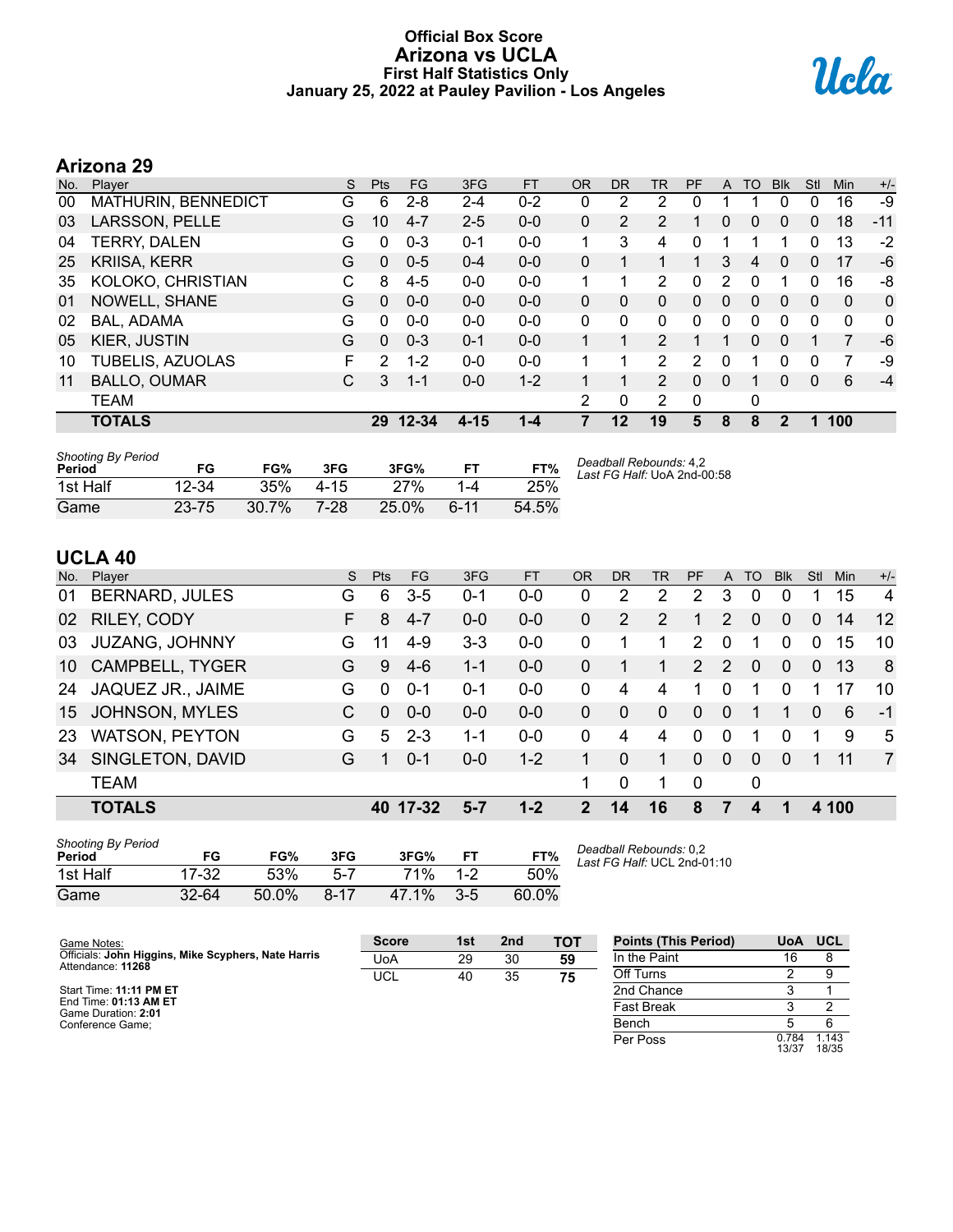# **Official Box Score Arizona vs UCLA First Half Statistics Only January 25, 2022 at Pauley Pavilion - Los Angeles**



# **Arizona 29**

| No. | Plaver              | S | <b>Pts</b>   | <b>FG</b> | 3FG      | <b>FT</b> | <b>OR</b> | <b>DR</b> | <b>TR</b>      | PF       | A | TO       | <b>B</b> lk  | Stl          | Min          | $+/-$ |
|-----|---------------------|---|--------------|-----------|----------|-----------|-----------|-----------|----------------|----------|---|----------|--------------|--------------|--------------|-------|
| 00  | MATHURIN, BENNEDICT | G | 6            | $2 - 8$   | $2 - 4$  | $0 - 2$   | 0         | 2         | 2              |          |   |          | 0            | 0            | 16           | -9    |
| 03  | LARSSON, PELLE      | G | 10           | $4 - 7$   | $2 - 5$  | $0 - 0$   | 0         | 2         | 2              |          | 0 | 0        | 0            | 0            | 18           | $-11$ |
| 04  | <b>TERRY, DALEN</b> | G | 0            | $0 - 3$   | $0 - 1$  | $0 - 0$   | 1         | 3         | 4              | 0        | 1 |          |              | 0            | 13           | $-2$  |
| 25  | <b>KRIISA, KERR</b> | G | $\Omega$     | $0 - 5$   | $0 - 4$  | $0 - 0$   | 0         |           |                |          | 3 | 4        | 0            | 0            | 17           | -6    |
| 35  | KOLOKO, CHRISTIAN   | С | 8            | $4 - 5$   | $0 - 0$  | $0 - 0$   | 1         | 1         | 2              | 0        | 2 | $\Omega$ |              | 0            | 16           | -8    |
| 01  | NOWELL, SHANE       | G | $\Omega$     | $0 - 0$   | $0 - 0$  | $0 - 0$   | $\Omega$  | 0         | $\Omega$       | $\Omega$ | 0 | $\Omega$ | $\mathbf{0}$ | $\Omega$     | $\mathbf{0}$ | 0     |
| 02  | BAL, ADAMA          | G | $\mathbf{0}$ | $0 - 0$   | $0 - 0$  | $0 - 0$   | 0         | 0         | 0              | $\Omega$ | 0 | 0        | 0            | 0            | $\mathbf{0}$ | 0     |
| 05  | KIER, JUSTIN        | G | $\Omega$     | $0 - 3$   | $0 - 1$  | $0 - 0$   |           | 1         | $\overline{2}$ |          |   | 0        | $\Omega$     |              | 7            | $-6$  |
| 10  | TUBELIS, AZUOLAS    | F | 2            | $1 - 2$   | $0 - 0$  | $0 - 0$   | 1         | 1         | 2              | 2        | 0 |          | 0            | 0            | 7            | -9    |
| 11  | <b>BALLO, OUMAR</b> | С | 3            | $1 - 1$   | $0 - 0$  | $1 - 2$   |           | 1         | $\overline{2}$ | $\Omega$ | 0 |          | 0            | $\mathbf{0}$ | 6            | $-4$  |
|     | <b>TEAM</b>         |   |              |           |          |           | 2         | 0         | 2              | 0        |   | 0        |              |              |              |       |
|     | <b>TOTALS</b>       |   |              | 29 12-34  | $4 - 15$ | $1 - 4$   | 7         | $12 \,$   | 19             | 5        | 8 | 8        | $\mathbf{2}$ | 1            | 100          |       |

| <b>Shooting By Period</b><br>Period | FG        | FG%   | 3FG      | 3FG%  |      | FT%   | Deadball Rebounds: 4,2<br>Last FG Half: UoA 2nd-00:58 |
|-------------------------------------|-----------|-------|----------|-------|------|-------|-------------------------------------------------------|
| 1st Half                            | $12 - 34$ | 35%   | $4 - 15$ | 27%   | 1-4  | 25%   |                                                       |
| Game                                | 23-75     | 30.7% | 7-28     | 25.0% | հ-11 | 54.5% |                                                       |

# **UCLA 40**

| No. | Player                 | S. | <b>Pts</b> | FG.       | 3FG     | <b>FT</b> | <b>OR</b>    | DR       | TR       | PF          | A        | TO       | <b>Blk</b> | Stl          | Min   | $+/-$          |
|-----|------------------------|----|------------|-----------|---------|-----------|--------------|----------|----------|-------------|----------|----------|------------|--------------|-------|----------------|
| 01  | <b>BERNARD, JULES</b>  | G  | 6          | $3-5$     | $0 - 1$ | $0 - 0$   | 0            | 2        | 2        | 2           | 3        | 0        | $\Omega$   |              | 15    | $\overline{4}$ |
| 02  | RILEY, CODY            | F. | 8          | $4 - 7$   | $0 - 0$ | $0-0$     | 0            | 2        | 2        | 1           | 2        | $\Omega$ | $\Omega$   | $\Omega$     | 14    | 12             |
| 03  | <b>JUZANG, JOHNNY</b>  | G  | 11         | $4 - 9$   | $3-3$   | $0-0$     | $\Omega$     |          |          | 2           | 0        |          | $\Omega$   | $\Omega$     | 15    | 10             |
| 10  | <b>CAMPBELL, TYGER</b> | G  | 9          | $4-6$     | $1 - 1$ | $0 - 0$   | $\Omega$     |          | 1.       | 2           | 2        | $\Omega$ | $\Omega$   | $\mathbf{0}$ | 13    | 8              |
| 24  | JAQUEZ JR., JAIME      | G  | $\Omega$   | $0 - 1$   | 0-1     | $0-0$     | $\Omega$     | 4        | 4        | 1.          | 0        | 1        | $\Omega$   |              | 17    | 10             |
| 15  | <b>JOHNSON, MYLES</b>  | C. | $\Omega$   | $0 - 0$   | $0 - 0$ | $0 - 0$   | $\Omega$     | $\Omega$ | $\Omega$ | $\Omega$    | $\Omega$ |          |            | $\Omega$     | 6     | $-1$           |
| 23  | <b>WATSON, PEYTON</b>  | G  | 5          | $2 - 3$   | $1 - 1$ | $0 - 0$   | $\Omega$     | 4        | 4        | 0           | 0        | 1        | $\Omega$   | 1            | 9     | 5              |
| 34  | SINGLETON, DAVID       | G  |            | $0 - 1$   | $0 - 0$ | $1 - 2$   |              | 0        |          | 0           | $\Omega$ | 0        | $\Omega$   |              | 11    | $\overline{7}$ |
|     | <b>TEAM</b>            |    |            |           |         |           | 1.           | 0        |          | $\mathbf 0$ |          | 0        |            |              |       |                |
|     | <b>TOTALS</b>          |    | 40         | $17 - 32$ | $5 - 7$ | $1 - 2$   | $\mathbf{P}$ | 14       | 16       | 8           | 7        |          |            |              | 4 100 |                |
|     |                        |    |            |           |         |           |              |          |          |             |          |          |            |              |       |                |

| Shooting By Period<br>Period | FG        | FG%   | 3FG      | 3FG%       |         | FT%   |
|------------------------------|-----------|-------|----------|------------|---------|-------|
| 1st Half                     | 17-32     | 53%   | $5 - 7$  | <b>71%</b> | $1 - 2$ | 50%   |
| Game                         | $32 - 64$ | 50.0% | $8 - 17$ | 47.1%      | $3-5$   | 60.0% |

*Deadball Rebounds:* 0,2 *Last FG Half:* UCL 2nd-01:10

| Game Notes:                                                              | <b>Score</b> | 1st | 2 <sub>nd</sub> | тот | <b>Points (This Period)</b> | <b>UoA</b>     | <b>UCL</b>     |
|--------------------------------------------------------------------------|--------------|-----|-----------------|-----|-----------------------------|----------------|----------------|
| Officials: John Higgins, Mike Scyphers, Nate Harris<br>Attendance: 11268 | UoA          | 29  | 30              | 59  | In the Paint                | 16             |                |
|                                                                          | <b>UCL</b>   | 40  | 35              | 75  | Off Turns                   |                |                |
| Start Time: 11:11 PM ET                                                  |              |     |                 |     | 2nd Chance                  |                |                |
| End Time: 01:13 AM ET<br>Game Duration: 2:01                             |              |     |                 |     | <b>Fast Break</b>           |                |                |
| Conference Game:                                                         |              |     |                 |     | Bench                       |                |                |
|                                                                          |              |     |                 |     | Per Poss                    | 0.784<br>13/37 | 1.143<br>18/35 |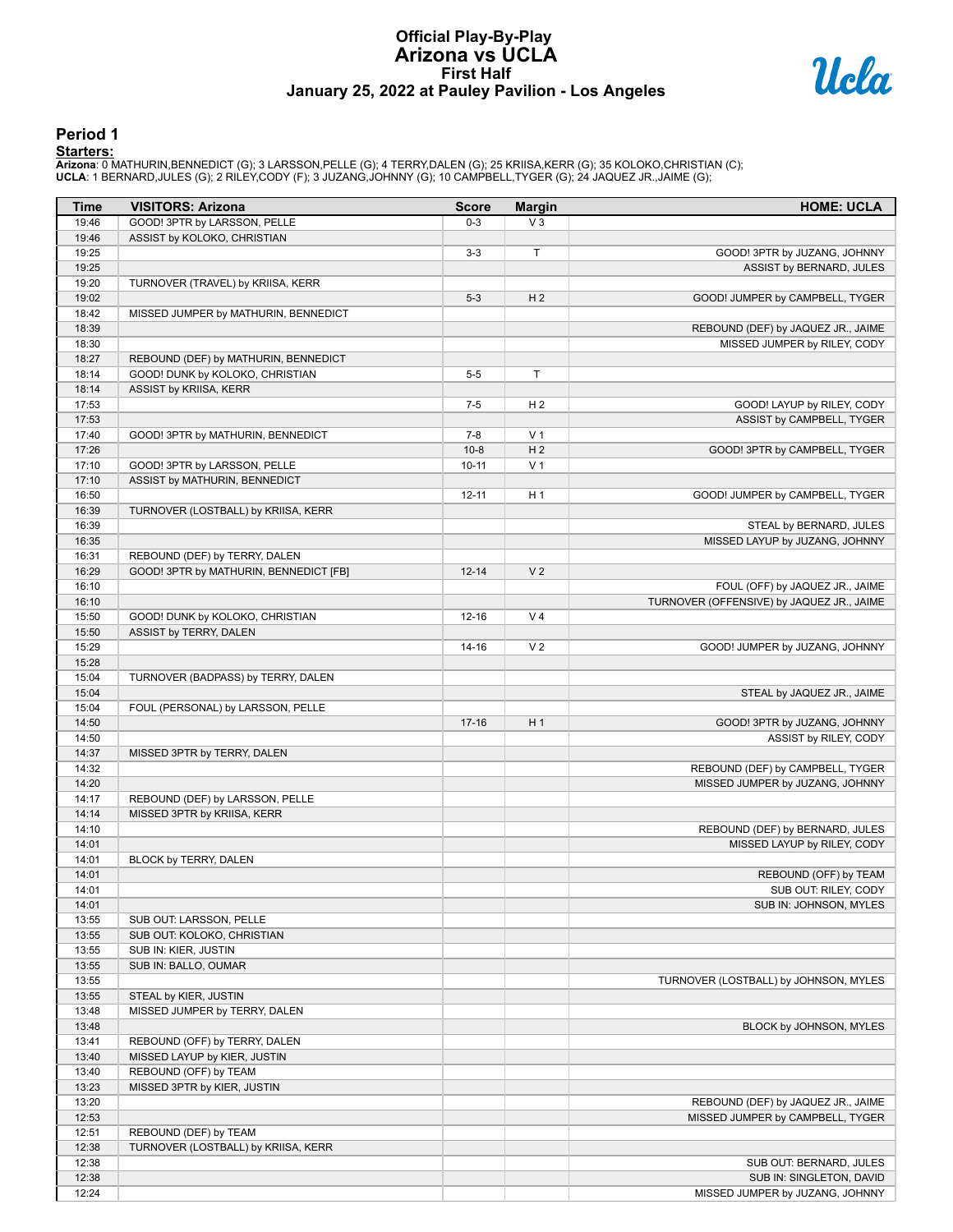# **Official Play-By-Play Arizona vs UCLA First Half January 25, 2022 at Pauley Pavilion - Los Angeles**



#### **Period 1**

<mark>Startersː</mark><br>Arizona: 0 MATHURIN,BENNEDICT (G); 3 LARSSON,PELLE (G); 4 TERRY,DALEN (G); 25 KRIISA,KERR (G); 35 KOLOKO,CHRISTIAN (C);<br>**UCLA**: 1 BERNARD,JULES (G); 2 RILEY,CODY (F); 3 JUZANG,JOHNNY (G); 10 CAMPBELL,TYGER (G);

| Time           | <b>VISITORS: Arizona</b>               | <b>Score</b> | <b>Margin</b>  | <b>HOME: UCLA</b>                                                      |
|----------------|----------------------------------------|--------------|----------------|------------------------------------------------------------------------|
| 19:46          | GOOD! 3PTR by LARSSON, PELLE           | $0 - 3$      | $V_3$          |                                                                        |
| 19:46          | ASSIST by KOLOKO, CHRISTIAN            |              |                |                                                                        |
| 19:25          |                                        | $3-3$        | T              | GOOD! 3PTR by JUZANG, JOHNNY                                           |
| 19:25          |                                        |              |                | ASSIST by BERNARD, JULES                                               |
| 19:20          | TURNOVER (TRAVEL) by KRIISA, KERR      |              |                |                                                                        |
| 19:02          |                                        | $5 - 3$      | H <sub>2</sub> | GOOD! JUMPER by CAMPBELL, TYGER                                        |
| 18:42          | MISSED JUMPER by MATHURIN, BENNEDICT   |              |                |                                                                        |
| 18:39          |                                        |              |                | REBOUND (DEF) by JAQUEZ JR., JAIME                                     |
| 18:30          |                                        |              |                | MISSED JUMPER by RILEY, CODY                                           |
| 18:27          | REBOUND (DEF) by MATHURIN, BENNEDICT   |              |                |                                                                        |
| 18:14          | GOOD! DUNK by KOLOKO, CHRISTIAN        | $5-5$        | T              |                                                                        |
| 18:14<br>17:53 | ASSIST by KRIISA, KERR                 | $7 - 5$      | H <sub>2</sub> |                                                                        |
| 17:53          |                                        |              |                | GOOD! LAYUP by RILEY, CODY<br>ASSIST by CAMPBELL, TYGER                |
| 17:40          | GOOD! 3PTR by MATHURIN, BENNEDICT      | $7 - 8$      | V <sub>1</sub> |                                                                        |
| 17:26          |                                        | $10 - 8$     | H <sub>2</sub> | GOOD! 3PTR by CAMPBELL, TYGER                                          |
| 17:10          | GOOD! 3PTR by LARSSON, PELLE           | $10 - 11$    | V <sub>1</sub> |                                                                        |
| 17:10          | ASSIST by MATHURIN, BENNEDICT          |              |                |                                                                        |
| 16:50          |                                        | $12 - 11$    | H <sub>1</sub> | GOOD! JUMPER by CAMPBELL, TYGER                                        |
| 16:39          | TURNOVER (LOSTBALL) by KRIISA, KERR    |              |                |                                                                        |
| 16:39          |                                        |              |                | STEAL by BERNARD, JULES                                                |
| 16:35          |                                        |              |                | MISSED LAYUP by JUZANG, JOHNNY                                         |
| 16:31          | REBOUND (DEF) by TERRY, DALEN          |              |                |                                                                        |
| 16:29          | GOOD! 3PTR by MATHURIN, BENNEDICT [FB] | $12 - 14$    | V <sub>2</sub> |                                                                        |
| 16:10          |                                        |              |                | FOUL (OFF) by JAQUEZ JR., JAIME                                        |
| 16:10          |                                        |              |                | TURNOVER (OFFENSIVE) by JAQUEZ JR., JAIME                              |
| 15:50          | GOOD! DUNK by KOLOKO, CHRISTIAN        | 12-16        | V <sub>4</sub> |                                                                        |
| 15:50          | ASSIST by TERRY, DALEN                 |              |                |                                                                        |
| 15:29          |                                        | $14 - 16$    | V <sub>2</sub> | GOOD! JUMPER by JUZANG, JOHNNY                                         |
| 15:28          |                                        |              |                |                                                                        |
| 15:04          | TURNOVER (BADPASS) by TERRY, DALEN     |              |                |                                                                        |
| 15:04          |                                        |              |                | STEAL by JAQUEZ JR., JAIME                                             |
| 15:04          | FOUL (PERSONAL) by LARSSON, PELLE      |              |                |                                                                        |
| 14:50          |                                        | $17-16$      | H1             | GOOD! 3PTR by JUZANG, JOHNNY                                           |
| 14:50<br>14:37 | MISSED 3PTR by TERRY, DALEN            |              |                | ASSIST by RILEY, CODY                                                  |
| 14:32          |                                        |              |                | REBOUND (DEF) by CAMPBELL, TYGER                                       |
| 14:20          |                                        |              |                | MISSED JUMPER by JUZANG, JOHNNY                                        |
| 14:17          | REBOUND (DEF) by LARSSON, PELLE        |              |                |                                                                        |
| 14:14          | MISSED 3PTR by KRIISA, KERR            |              |                |                                                                        |
| 14:10          |                                        |              |                | REBOUND (DEF) by BERNARD, JULES                                        |
| 14:01          |                                        |              |                | MISSED LAYUP by RILEY, CODY                                            |
| 14:01          | BLOCK by TERRY, DALEN                  |              |                |                                                                        |
| 14:01          |                                        |              |                | REBOUND (OFF) by TEAM                                                  |
| 14:01          |                                        |              |                | SUB OUT: RILEY, CODY                                                   |
| 14:01          |                                        |              |                | SUB IN: JOHNSON, MYLES                                                 |
| 13:55          | SUB OUT: LARSSON, PELLE                |              |                |                                                                        |
| 13:55          | SUB OUT: KOLOKO, CHRISTIAN             |              |                |                                                                        |
| 13:55          | SUB IN: KIER, JUSTIN                   |              |                |                                                                        |
| 13:55          | SUB IN: BALLO, OUMAR                   |              |                |                                                                        |
| 13:55          |                                        |              |                | TURNOVER (LOSTBALL) by JOHNSON, MYLES                                  |
| 13:55          | STEAL by KIER, JUSTIN                  |              |                |                                                                        |
| 13:48          | MISSED JUMPER by TERRY, DALEN          |              |                |                                                                        |
| 13:48          |                                        |              |                | BLOCK by JOHNSON, MYLES                                                |
| 13:41          | REBOUND (OFF) by TERRY, DALEN          |              |                |                                                                        |
| 13:40          | MISSED LAYUP by KIER, JUSTIN           |              |                |                                                                        |
| 13:40          | REBOUND (OFF) by TEAM                  |              |                |                                                                        |
| 13:23<br>13:20 | MISSED 3PTR by KIER, JUSTIN            |              |                |                                                                        |
| 12:53          |                                        |              |                | REBOUND (DEF) by JAQUEZ JR., JAIME<br>MISSED JUMPER by CAMPBELL, TYGER |
| 12:51          | REBOUND (DEF) by TEAM                  |              |                |                                                                        |
| 12:38          | TURNOVER (LOSTBALL) by KRIISA, KERR    |              |                |                                                                        |
| 12:38          |                                        |              |                | SUB OUT: BERNARD, JULES                                                |
| 12:38          |                                        |              |                | SUB IN: SINGLETON, DAVID                                               |
| 12:24          |                                        |              |                | MISSED JUMPER by JUZANG, JOHNNY                                        |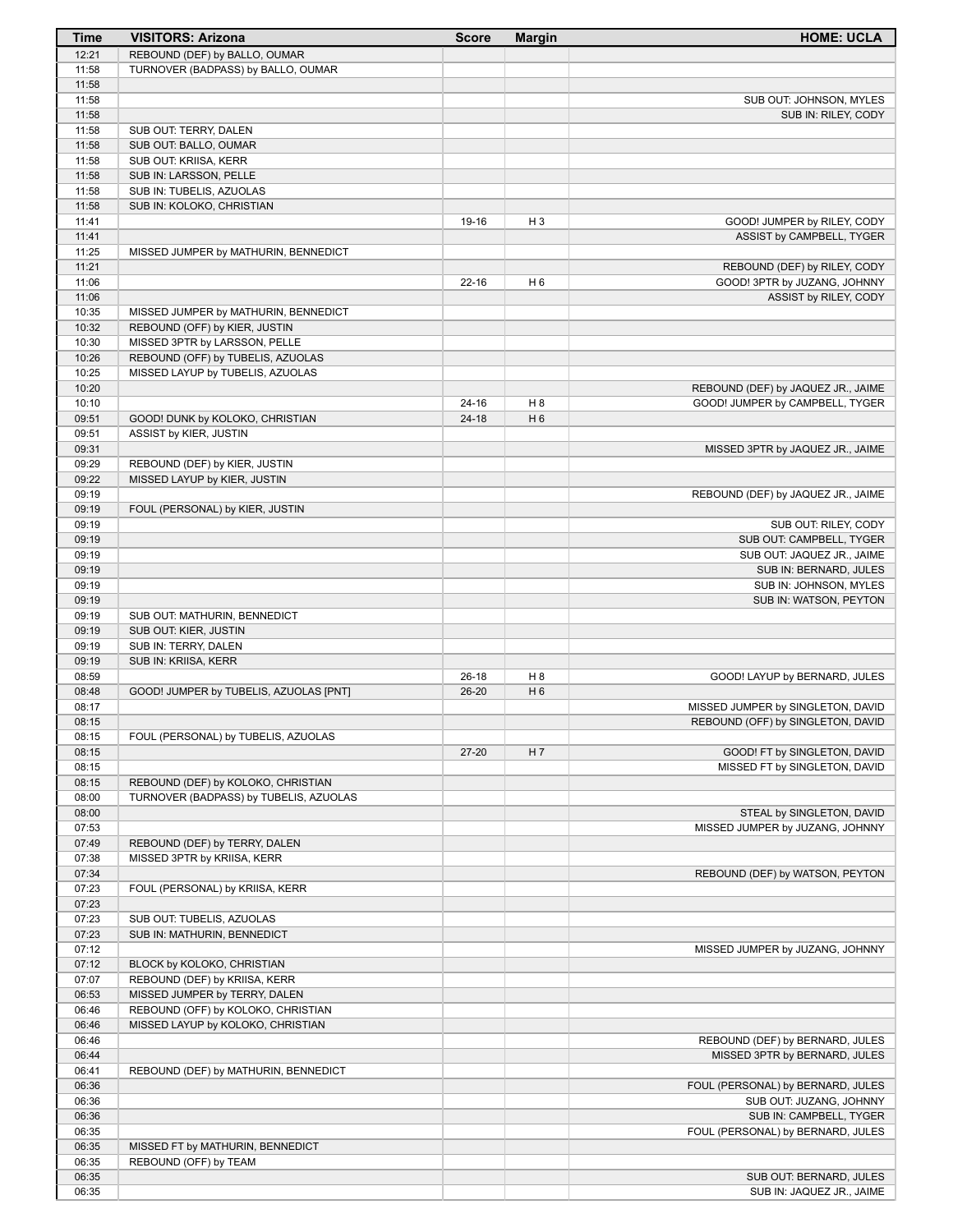| Time           | <b>VISITORS: Arizona</b>               | <b>Score</b> | <b>Margin</b>         | <b>HOME: UCLA</b>                  |
|----------------|----------------------------------------|--------------|-----------------------|------------------------------------|
| 12:21          | REBOUND (DEF) by BALLO, OUMAR          |              |                       |                                    |
| 11:58          | TURNOVER (BADPASS) by BALLO, OUMAR     |              |                       |                                    |
| 11:58          |                                        |              |                       |                                    |
| 11:58          |                                        |              |                       | SUB OUT: JOHNSON, MYLES            |
| 11:58          |                                        |              |                       | SUB IN: RILEY, CODY                |
| 11:58          | SUB OUT: TERRY, DALEN                  |              |                       |                                    |
| 11:58          | SUB OUT: BALLO, OUMAR                  |              |                       |                                    |
| 11:58          | SUB OUT: KRIISA, KERR                  |              |                       |                                    |
| 11:58          | SUB IN: LARSSON, PELLE                 |              |                       |                                    |
| 11:58          | SUB IN: TUBELIS, AZUOLAS               |              |                       |                                    |
| 11:58          | SUB IN: KOLOKO, CHRISTIAN              |              |                       |                                    |
| 11:41          |                                        | 19-16        | $H_3$                 | GOOD! JUMPER by RILEY, CODY        |
| 11:41          |                                        |              |                       | ASSIST by CAMPBELL, TYGER          |
| 11:25          | MISSED JUMPER by MATHURIN, BENNEDICT   |              |                       |                                    |
| 11:21          |                                        |              |                       | REBOUND (DEF) by RILEY, CODY       |
| 11:06          |                                        | $22 - 16$    | H <sub>6</sub>        | GOOD! 3PTR by JUZANG, JOHNNY       |
| 11:06          |                                        |              |                       | ASSIST by RILEY, CODY              |
| 10:35          | MISSED JUMPER by MATHURIN, BENNEDICT   |              |                       |                                    |
| 10:32          | REBOUND (OFF) by KIER, JUSTIN          |              |                       |                                    |
| 10:30          | MISSED 3PTR by LARSSON, PELLE          |              |                       |                                    |
| 10:26          | REBOUND (OFF) by TUBELIS, AZUOLAS      |              |                       |                                    |
| 10:25          | MISSED LAYUP by TUBELIS, AZUOLAS       |              |                       |                                    |
| 10:20          |                                        |              |                       | REBOUND (DEF) by JAQUEZ JR., JAIME |
| 10:10          | GOOD! DUNK by KOLOKO, CHRISTIAN        | $24 - 16$    | H 8<br>H <sub>6</sub> | GOOD! JUMPER by CAMPBELL, TYGER    |
| 09:51<br>09:51 |                                        | $24 - 18$    |                       |                                    |
|                | ASSIST by KIER, JUSTIN                 |              |                       |                                    |
| 09:31<br>09:29 |                                        |              |                       | MISSED 3PTR by JAQUEZ JR., JAIME   |
| 09:22          | REBOUND (DEF) by KIER, JUSTIN          |              |                       |                                    |
| 09:19          | MISSED LAYUP by KIER, JUSTIN           |              |                       |                                    |
| 09:19          | FOUL (PERSONAL) by KIER, JUSTIN        |              |                       | REBOUND (DEF) by JAQUEZ JR., JAIME |
| 09:19          |                                        |              |                       | SUB OUT: RILEY, CODY               |
| 09:19          |                                        |              |                       | SUB OUT: CAMPBELL, TYGER           |
| 09:19          |                                        |              |                       | SUB OUT: JAQUEZ JR., JAIME         |
| 09:19          |                                        |              |                       | SUB IN: BERNARD, JULES             |
| 09:19          |                                        |              |                       | SUB IN: JOHNSON, MYLES             |
| 09:19          |                                        |              |                       | SUB IN: WATSON, PEYTON             |
| 09:19          | SUB OUT: MATHURIN, BENNEDICT           |              |                       |                                    |
| 09:19          | SUB OUT: KIER, JUSTIN                  |              |                       |                                    |
| 09:19          | SUB IN: TERRY, DALEN                   |              |                       |                                    |
| 09:19          | SUB IN: KRIISA, KERR                   |              |                       |                                    |
| 08:59          |                                        | $26-18$      | H 8                   | GOOD! LAYUP by BERNARD, JULES      |
| 08:48          | GOOD! JUMPER by TUBELIS, AZUOLAS [PNT] | $26 - 20$    | H <sub>6</sub>        |                                    |
| 08:17          |                                        |              |                       | MISSED JUMPER by SINGLETON, DAVID  |
| 08:15          |                                        |              |                       | REBOUND (OFF) by SINGLETON, DAVID  |
| 08:15          | FOUL (PERSONAL) by TUBELIS, AZUOLAS    |              |                       |                                    |
| 08:15          |                                        | $27 - 20$    | H 7                   | GOOD! FT by SINGLETON, DAVID       |
| 08:15          |                                        |              |                       | MISSED FT by SINGLETON, DAVID      |
| 08:15          | REBOUND (DEF) by KOLOKO, CHRISTIAN     |              |                       |                                    |
| 08:00          | TURNOVER (BADPASS) by TUBELIS, AZUOLAS |              |                       |                                    |
| 08:00          |                                        |              |                       | STEAL by SINGLETON, DAVID          |
| 07:53          |                                        |              |                       | MISSED JUMPER by JUZANG, JOHNNY    |
| 07:49          | REBOUND (DEF) by TERRY, DALEN          |              |                       |                                    |
| 07:38          | MISSED 3PTR by KRIISA, KERR            |              |                       |                                    |
| 07:34          |                                        |              |                       | REBOUND (DEF) by WATSON, PEYTON    |
| 07:23          | FOUL (PERSONAL) by KRIISA, KERR        |              |                       |                                    |
| 07:23          |                                        |              |                       |                                    |
| 07:23          | SUB OUT: TUBELIS, AZUOLAS              |              |                       |                                    |
| 07:23          | SUB IN: MATHURIN, BENNEDICT            |              |                       |                                    |
| 07:12          |                                        |              |                       | MISSED JUMPER by JUZANG, JOHNNY    |
| 07:12          | BLOCK by KOLOKO, CHRISTIAN             |              |                       |                                    |
| 07:07          | REBOUND (DEF) by KRIISA, KERR          |              |                       |                                    |
| 06:53          | MISSED JUMPER by TERRY, DALEN          |              |                       |                                    |
| 06:46          | REBOUND (OFF) by KOLOKO, CHRISTIAN     |              |                       |                                    |
| 06:46          | MISSED LAYUP by KOLOKO, CHRISTIAN      |              |                       |                                    |
| 06:46          |                                        |              |                       | REBOUND (DEF) by BERNARD, JULES    |
| 06:44          |                                        |              |                       | MISSED 3PTR by BERNARD, JULES      |
| 06:41          | REBOUND (DEF) by MATHURIN, BENNEDICT   |              |                       |                                    |
| 06:36          |                                        |              |                       | FOUL (PERSONAL) by BERNARD, JULES  |
| 06:36          |                                        |              |                       | SUB OUT: JUZANG, JOHNNY            |
| 06:36          |                                        |              |                       | SUB IN: CAMPBELL, TYGER            |
| 06:35          |                                        |              |                       | FOUL (PERSONAL) by BERNARD, JULES  |
| 06:35<br>06:35 | MISSED FT by MATHURIN, BENNEDICT       |              |                       |                                    |
| 06:35          | REBOUND (OFF) by TEAM                  |              |                       | SUB OUT: BERNARD, JULES            |
| 06:35          |                                        |              |                       | SUB IN: JAQUEZ JR., JAIME          |
|                |                                        |              |                       |                                    |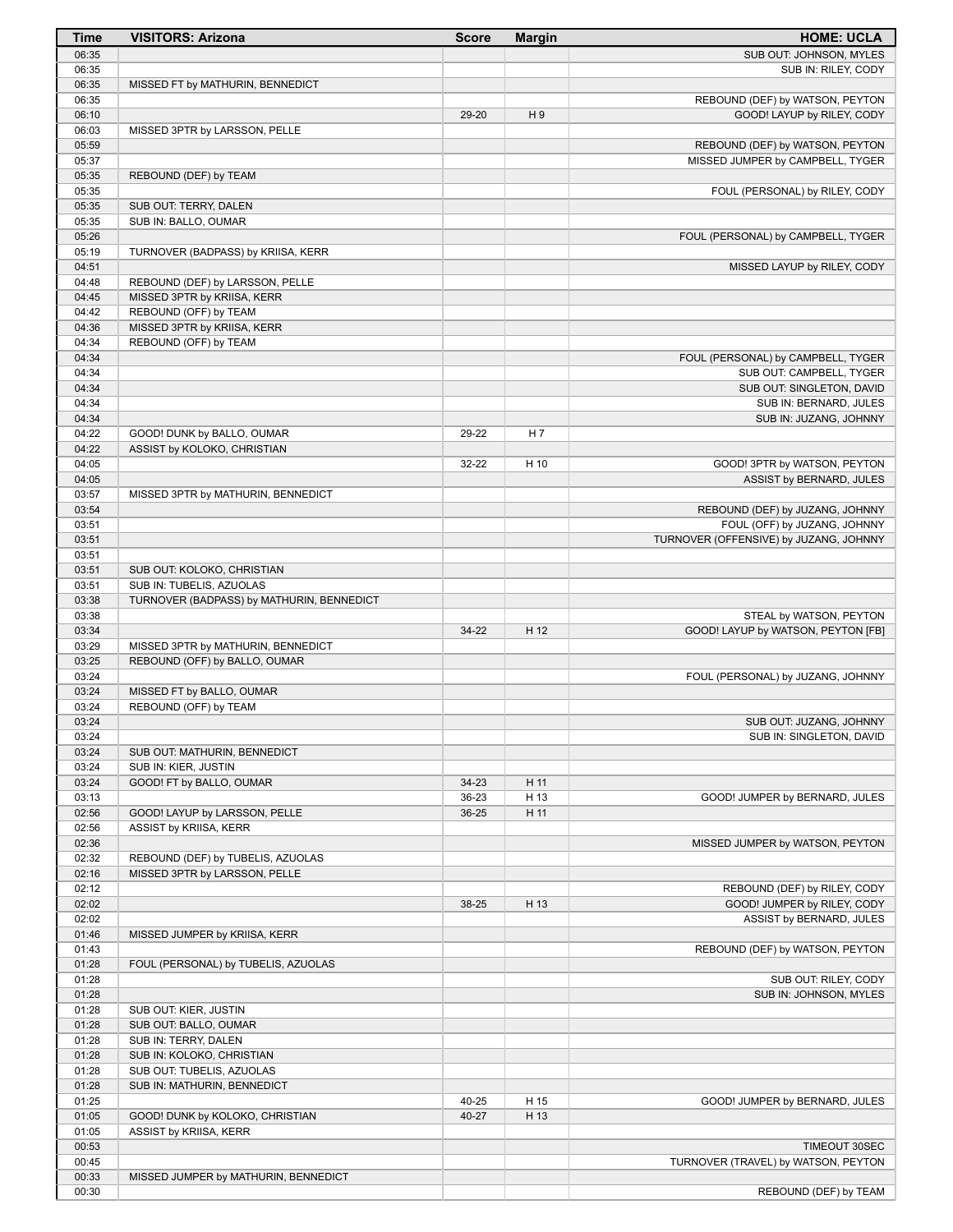| <b>Time</b>    | <b>VISITORS: Arizona</b>                                           | <b>Score</b> | <b>Margin</b>  | <b>HOME: UCLA</b>                                             |
|----------------|--------------------------------------------------------------------|--------------|----------------|---------------------------------------------------------------|
| 06:35          |                                                                    |              |                | SUB OUT: JOHNSON, MYLES                                       |
| 06:35          |                                                                    |              |                | SUB IN: RILEY, CODY                                           |
| 06:35          | MISSED FT by MATHURIN, BENNEDICT                                   |              |                |                                                               |
| 06:35<br>06:10 |                                                                    | 29-20        | H <sub>9</sub> | REBOUND (DEF) by WATSON, PEYTON<br>GOOD! LAYUP by RILEY, CODY |
| 06:03          | MISSED 3PTR by LARSSON, PELLE                                      |              |                |                                                               |
| 05:59          |                                                                    |              |                | REBOUND (DEF) by WATSON, PEYTON                               |
| 05:37          |                                                                    |              |                | MISSED JUMPER by CAMPBELL, TYGER                              |
| 05:35          | REBOUND (DEF) by TEAM                                              |              |                |                                                               |
| 05:35          |                                                                    |              |                | FOUL (PERSONAL) by RILEY, CODY                                |
| 05:35<br>05:35 | SUB OUT: TERRY, DALEN<br>SUB IN: BALLO, OUMAR                      |              |                |                                                               |
| 05:26          |                                                                    |              |                | FOUL (PERSONAL) by CAMPBELL, TYGER                            |
| 05:19          | TURNOVER (BADPASS) by KRIISA, KERR                                 |              |                |                                                               |
| 04:51          |                                                                    |              |                | MISSED LAYUP by RILEY, CODY                                   |
| 04:48          | REBOUND (DEF) by LARSSON, PELLE                                    |              |                |                                                               |
| 04:45          | MISSED 3PTR by KRIISA, KERR                                        |              |                |                                                               |
| 04:42          | REBOUND (OFF) by TEAM                                              |              |                |                                                               |
| 04:36          | MISSED 3PTR by KRIISA, KERR                                        |              |                |                                                               |
| 04:34<br>04:34 | REBOUND (OFF) by TEAM                                              |              |                | FOUL (PERSONAL) by CAMPBELL, TYGER                            |
| 04:34          |                                                                    |              |                | SUB OUT: CAMPBELL, TYGER                                      |
| 04:34          |                                                                    |              |                | SUB OUT: SINGLETON, DAVID                                     |
| 04:34          |                                                                    |              |                | SUB IN: BERNARD, JULES                                        |
| 04:34          |                                                                    |              |                | SUB IN: JUZANG, JOHNNY                                        |
| 04:22          | GOOD! DUNK by BALLO, OUMAR                                         | 29-22        | H <sub>7</sub> |                                                               |
| 04:22          | ASSIST by KOLOKO, CHRISTIAN                                        |              |                |                                                               |
| 04:05          |                                                                    | 32-22        | H 10           | GOOD! 3PTR by WATSON, PEYTON                                  |
| 04:05<br>03:57 | MISSED 3PTR by MATHURIN, BENNEDICT                                 |              |                | ASSIST by BERNARD, JULES                                      |
| 03:54          |                                                                    |              |                | REBOUND (DEF) by JUZANG, JOHNNY                               |
| 03:51          |                                                                    |              |                | FOUL (OFF) by JUZANG, JOHNNY                                  |
| 03:51          |                                                                    |              |                | TURNOVER (OFFENSIVE) by JUZANG, JOHNNY                        |
| 03:51          |                                                                    |              |                |                                                               |
| 03:51          | SUB OUT: KOLOKO, CHRISTIAN                                         |              |                |                                                               |
| 03:51          | SUB IN: TUBELIS, AZUOLAS                                           |              |                |                                                               |
| 03:38          | TURNOVER (BADPASS) by MATHURIN, BENNEDICT                          |              |                |                                                               |
| 03:38<br>03:34 |                                                                    | 34-22        | H 12           | STEAL by WATSON, PEYTON<br>GOOD! LAYUP by WATSON, PEYTON [FB] |
| 03:29          | MISSED 3PTR by MATHURIN, BENNEDICT                                 |              |                |                                                               |
| 03:25          | REBOUND (OFF) by BALLO, OUMAR                                      |              |                |                                                               |
| 03:24          |                                                                    |              |                | FOUL (PERSONAL) by JUZANG, JOHNNY                             |
| 03:24          | MISSED FT by BALLO, OUMAR                                          |              |                |                                                               |
| 03:24          | REBOUND (OFF) by TEAM                                              |              |                |                                                               |
| 03:24          |                                                                    |              |                | SUB OUT: JUZANG, JOHNNY                                       |
| 03:24<br>03:24 | SUB OUT: MATHURIN, BENNEDICT                                       |              |                | SUB IN: SINGLETON, DAVID                                      |
| 03:24          | SUB IN: KIER, JUSTIN                                               |              |                |                                                               |
| 03:24          | GOOD! FT by BALLO, OUMAR                                           | $34 - 23$    | H 11           |                                                               |
| 03:13          |                                                                    | 36-23        | H 13           | GOOD! JUMPER by BERNARD, JULES                                |
| 02:56          | GOOD! LAYUP by LARSSON, PELLE                                      | 36-25        | H 11           |                                                               |
| 02:56          | ASSIST by KRIISA, KERR                                             |              |                |                                                               |
| 02:36          |                                                                    |              |                | MISSED JUMPER by WATSON, PEYTON                               |
| 02:32<br>02:16 | REBOUND (DEF) by TUBELIS, AZUOLAS<br>MISSED 3PTR by LARSSON, PELLE |              |                |                                                               |
| 02:12          |                                                                    |              |                | REBOUND (DEF) by RILEY, CODY                                  |
| 02:02          |                                                                    | 38-25        | H 13           | GOOD! JUMPER by RILEY, CODY                                   |
| 02:02          |                                                                    |              |                | ASSIST by BERNARD, JULES                                      |
| 01:46          | MISSED JUMPER by KRIISA, KERR                                      |              |                |                                                               |
| 01:43          |                                                                    |              |                | REBOUND (DEF) by WATSON, PEYTON                               |
| 01:28          | FOUL (PERSONAL) by TUBELIS, AZUOLAS                                |              |                |                                                               |
| 01:28          |                                                                    |              |                | SUB OUT: RILEY, CODY                                          |
| 01:28          |                                                                    |              |                | SUB IN: JOHNSON, MYLES                                        |
| 01:28<br>01:28 | SUB OUT: KIER, JUSTIN<br>SUB OUT: BALLO, OUMAR                     |              |                |                                                               |
| 01:28          | SUB IN: TERRY, DALEN                                               |              |                |                                                               |
| 01:28          | SUB IN: KOLOKO, CHRISTIAN                                          |              |                |                                                               |
| 01:28          | SUB OUT: TUBELIS, AZUOLAS                                          |              |                |                                                               |
| 01:28          | SUB IN: MATHURIN, BENNEDICT                                        |              |                |                                                               |
| 01:25          |                                                                    | 40-25        | H 15           | GOOD! JUMPER by BERNARD, JULES                                |
| 01:05          | GOOD! DUNK by KOLOKO, CHRISTIAN                                    | 40-27        | H 13           |                                                               |
| 01:05          | ASSIST by KRIISA, KERR                                             |              |                |                                                               |
| 00:53          |                                                                    |              |                | TIMEOUT 30SEC                                                 |
| 00:45<br>00:33 | MISSED JUMPER by MATHURIN, BENNEDICT                               |              |                | TURNOVER (TRAVEL) by WATSON, PEYTON                           |
| 00:30          |                                                                    |              |                | REBOUND (DEF) by TEAM                                         |
|                |                                                                    |              |                |                                                               |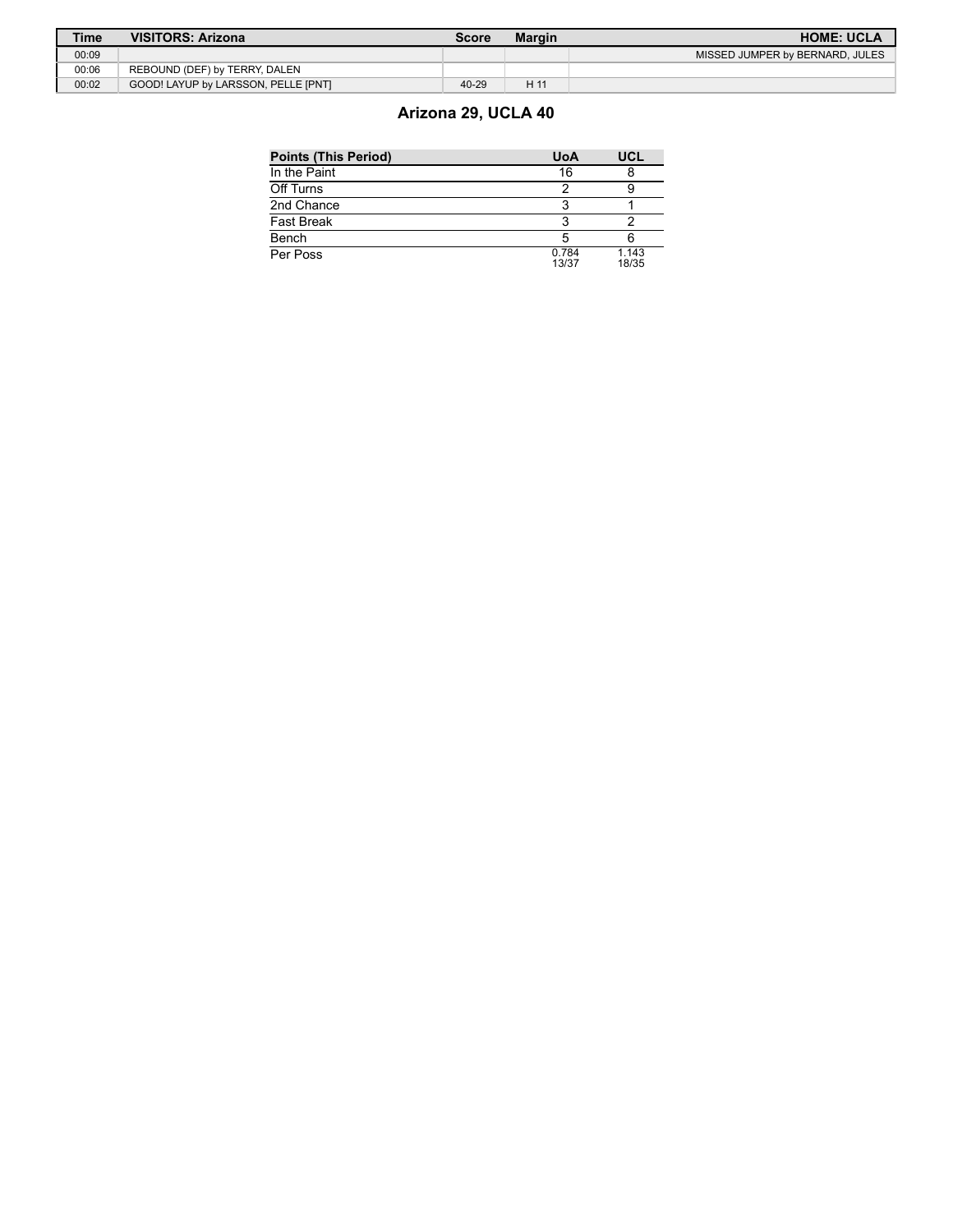| <b>Time</b> | <b>VISITORS: Arizona</b>            | Score | <b>Margin</b> | <b>HOME: UCLA</b>               |
|-------------|-------------------------------------|-------|---------------|---------------------------------|
| 00:09       |                                     |       |               | MISSED JUMPER by BERNARD, JULES |
| 00:06       | REBOUND (DEF) by TERRY, DALEN       |       |               |                                 |
| 00:02       | GOOD! LAYUP by LARSSON, PELLE [PNT] | 40-29 | H1'           |                                 |

# **Arizona 29, UCLA 40**

| <b>Points (This Period)</b> | <b>UoA</b>     | UCL            |
|-----------------------------|----------------|----------------|
| In the Paint                | 16             |                |
| Off Turns                   |                |                |
| 2nd Chance                  |                |                |
| Fast Break                  |                |                |
| Bench                       |                |                |
| Per Poss                    | 0.784<br>13/37 | 1.143<br>18/35 |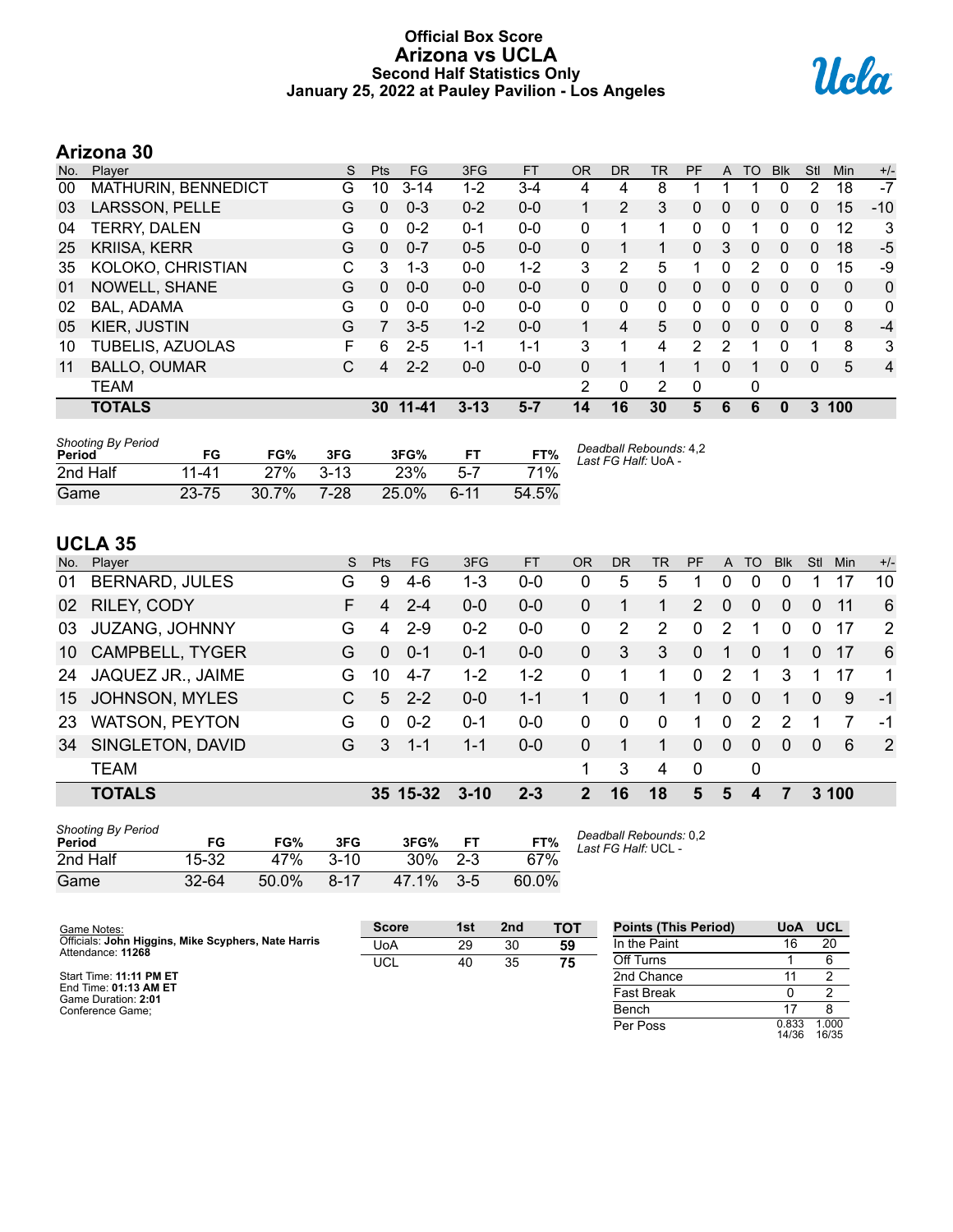# **Official Box Score Arizona vs UCLA Second Half Statistics Only January 25, 2022 at Pauley Pavilion - Los Angeles**



# **Arizona 30**

| No. | Player                  | S | <b>Pts</b>   | FG        | 3FG      | <b>FT</b> | <b>OR</b> | DR       | <b>TR</b>      | PF | A | TO       | <b>Blk</b>   | Stl          | Min          | $+/-$          |
|-----|-------------------------|---|--------------|-----------|----------|-----------|-----------|----------|----------------|----|---|----------|--------------|--------------|--------------|----------------|
| 00  | MATHURIN, BENNEDICT     | G | 10           | $3 - 14$  | $1 - 2$  | 3-4       | 4         | 4        | 8              |    |   |          |              | 2            | 18           | $-7$           |
| 03  | LARSSON, PELLE          | G | 0            | $0 - 3$   | $0 - 2$  | $0 - 0$   |           | 2        | 3              | 0  | 0 | 0        | 0            | 0            | 15           | $-10$          |
| 04  | <b>TERRY, DALEN</b>     | G | $\Omega$     | $0 - 2$   | $0 - 1$  | $0 - 0$   | 0         | 1        |                | 0  | 0 |          | 0            | $\Omega$     | 12           | 3              |
| 25  | <b>KRIISA, KERR</b>     | G | $\mathbf{0}$ | $0 - 7$   | $0 - 5$  | $0 - 0$   | 0         | 1        | 1              | 0  | 3 | 0        | $\mathbf{0}$ | $\mathbf{0}$ | 18           | $-5$           |
| 35  | KOLOKO, CHRISTIAN       | C | 3            | $1 - 3$   | $0 - 0$  | $1 - 2$   | 3         | 2        | 5              | 1  | 0 | 2        | $\Omega$     | 0            | 15           | -9             |
| 01  | NOWELL, SHANE           | G | $\Omega$     | $0 - 0$   | $0 - 0$  | $0 - 0$   | 0         | $\Omega$ | $\Omega$       | 0  | 0 | $\Omega$ | $\Omega$     | $\Omega$     | $\mathbf{0}$ | 0              |
| 02  | BAL, ADAMA              | G | 0            | $0 - 0$   | $0 - 0$  | $0 - 0$   | 0         | 0        | 0              | 0  | 0 | 0        | 0            | 0            | 0            | 0              |
| 05  | KIER, JUSTIN            | G | 7            | $3 - 5$   | $1 - 2$  | $0 - 0$   |           | 4        | 5              | 0  | 0 | $\Omega$ | $\Omega$     | $\mathbf{0}$ | 8            | $-4$           |
| 10  | <b>TUBELIS, AZUOLAS</b> | F | 6            | $2 - 5$   | $1 - 1$  | $1 - 1$   | 3         | 1        | 4              | 2  | 2 |          | 0            | 1            | 8            | 3              |
| 11  | <b>BALLO, OUMAR</b>     | С | 4            | $2 - 2$   | $0 - 0$  | $0 - 0$   | 0         | 1        |                | 1  | 0 | 1        | $\mathbf{0}$ | $\mathbf{0}$ | 5            | $\overline{4}$ |
|     | <b>TEAM</b>             |   |              |           |          |           | 2         | 0        | $\overline{2}$ | 0  |   | 0        |              |              |              |                |
|     | <b>TOTALS</b>           |   | 30           | $11 - 41$ | $3 - 13$ | $5 - 7$   | 14        | 16       | 30             | 5  | 6 | 6        | 0            | 3            | 100          |                |

| <b>Shooting By Period</b><br>Period | FG        | FG%      | 3FG      | 3FG%     | FT       | FT%   | Deadball Rebounds: 4,2<br>Last FG Half: UoA - |
|-------------------------------------|-----------|----------|----------|----------|----------|-------|-----------------------------------------------|
| 2nd Half                            | 11-41     | 27%      | $3 - 13$ | 23%      | 5-7      | 71%   |                                               |
| Game                                | $23 - 75$ | $30.7\%$ | 7-28     | $25.0\%$ | $6 - 11$ | 54.5% |                                               |

# **UCLA 35**

| No. | Player                 | S. | <b>Pts</b> | FG.      | 3FG      | <b>FT</b> | <b>OR</b> | <b>DR</b> | TR       | <b>PF</b>      | A        | TO           | <b>Blk</b> | Stl      | Min | $+/-$ |
|-----|------------------------|----|------------|----------|----------|-----------|-----------|-----------|----------|----------------|----------|--------------|------------|----------|-----|-------|
| 01  | <b>BERNARD, JULES</b>  | G  | 9          | $4-6$    | 1-3      | $0 - 0$   | 0         | 5         | 5        |                | 0        | 0            |            |          | 17  | 10    |
| 02  | RILEY, CODY            | F  | 4          | $2 - 4$  | $0 - 0$  | $0 - 0$   | 0         |           |          | $\overline{2}$ | $\Omega$ | 0            | $\Omega$   | $\Omega$ | 11  | 6     |
| 03  | <b>JUZANG, JOHNNY</b>  | G  | 4          | $2 - 9$  | $0 - 2$  | $0 - 0$   | 0         | 2         | 2        | $\Omega$       | 2        |              | $\Omega$   | $\Omega$ | 17  | 2     |
| 10  | <b>CAMPBELL, TYGER</b> | G  | $\Omega$   | $0 - 1$  | $0 - 1$  | $0 - 0$   | $\Omega$  | 3         | 3        | $\Omega$       | 1        | 0            |            | $\Omega$ | 17  | 6     |
| 24  | JAQUEZ JR., JAIME      | G. | 10         | $4 - 7$  | $1 - 2$  | $1 - 2$   | $\Omega$  |           |          | $\Omega$       | 2        |              | 3          |          | 17  | 1     |
| 15  | <b>JOHNSON, MYLES</b>  |    | 5          | $2 - 2$  | $0 - 0$  | $1 - 1$   |           | 0         | 1.       | 1              | $\Omega$ | $\Omega$     | 1          | $\Omega$ | 9   | $-1$  |
| 23  | <b>WATSON, PEYTON</b>  | G  | 0          | $0 - 2$  | $0 - 1$  | $0 - 0$   | $\Omega$  | 0         | $\Omega$ | 1.             | 0        | 2            | 2          |          |     | -1    |
| 34  | SINGLETON, DAVID       | G. | 3          | -1-1     | $1 - 1$  | $0 - 0$   | $\Omega$  |           |          | $\Omega$       | $\Omega$ | $\Omega$     | $\Omega$   | $\Omega$ | 6   | 2     |
|     | <b>TEAM</b>            |    |            |          |          |           | 1         | 3         | 4        | $\mathbf 0$    |          | $\mathbf{0}$ |            |          |     |       |
|     | <b>TOTALS</b>          |    |            | 35 15-32 | $3 - 10$ | $2 - 3$   | 2         | 16        | 18       | 5              | 5        |              |            | 3        | 100 |       |

| <b>Shooting By Period</b><br>Period | FG        | FG%   | 3FG      | 3FG%   |       | FT%   |
|-------------------------------------|-----------|-------|----------|--------|-------|-------|
| 2nd Half                            | 15-32     | 47%   | $3 - 10$ | $30\%$ | $2-3$ | 67%   |
| Game                                | $32 - 64$ | 50.0% | $8 - 17$ | 47.1%  | $3-5$ | 60.0% |

*Deadball Rebounds:* 0,2 *Last FG Half:* UCL -

| Game Notes:                                                              | <b>Score</b> | 1st | 2 <sub>nd</sub> | <b>TOT</b> | <b>Points (This Period)</b> | <b>UoA</b>     | <b>UCL</b>     |
|--------------------------------------------------------------------------|--------------|-----|-----------------|------------|-----------------------------|----------------|----------------|
| Officials: John Higgins, Mike Scyphers, Nate Harris<br>Attendance: 11268 | UoA          | 29  | 30              | 59         | In the Paint                | 16             | 20             |
|                                                                          | UCL          | 40  | 35              | 75         | Off Turns                   |                |                |
| Start Time: 11:11 PM ET                                                  |              |     |                 |            | 2nd Chance                  |                |                |
| End Time: 01:13 AM ET<br>Game Duration: 2:01                             |              |     |                 |            | Fast Break                  |                |                |
| Conference Game:                                                         |              |     |                 |            | Bench                       |                |                |
|                                                                          |              |     |                 |            | Per Poss                    | 0.833<br>14/36 | 1.000<br>16/35 |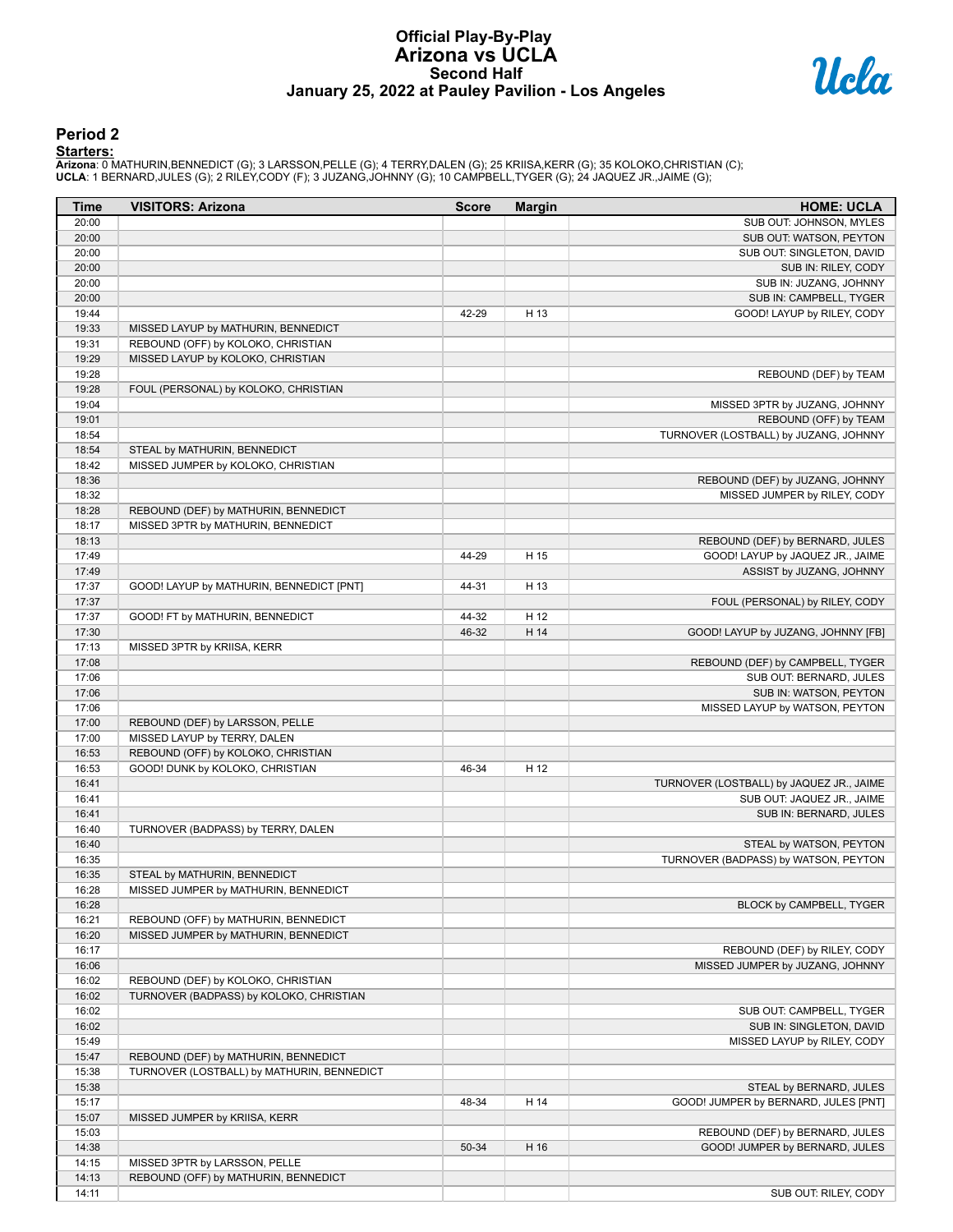# **Official Play-By-Play Arizona vs UCLA Second Half January 25, 2022 at Pauley Pavilion - Los Angeles**



#### **Period 2**

#### **Starters:**

Arizona: 0 MATHURIN,BENNEDICT (G); 3 LARSSON,PELLE (G); 4 TERRY,DALEN (G); 25 KRIISA,KERR (G); 35 KOLOKO,CHRISTIAN (C);<br>**UCLA**: 1 BERNARD,JULES (G); 2 RILEY,CODY (F); 3 JUZANG,JOHNNY (G); 10 CAMPBELL,TYGER (G); 24 JAQUEZ J

| Time           | <b>VISITORS: Arizona</b>                                                | <b>Score</b> | <b>Margin</b> | <b>HOME: UCLA</b>                        |
|----------------|-------------------------------------------------------------------------|--------------|---------------|------------------------------------------|
| 20:00          |                                                                         |              |               | SUB OUT: JOHNSON, MYLES                  |
| 20:00          |                                                                         |              |               | SUB OUT: WATSON, PEYTON                  |
| 20:00          |                                                                         |              |               | SUB OUT: SINGLETON, DAVID                |
| 20:00          |                                                                         |              |               | SUB IN: RILEY, CODY                      |
| 20:00          |                                                                         |              |               | SUB IN: JUZANG, JOHNNY                   |
| 20:00          |                                                                         |              |               | SUB IN: CAMPBELL, TYGER                  |
| 19:44          |                                                                         | 42-29        | H 13          | GOOD! LAYUP by RILEY, CODY               |
| 19:33          | MISSED LAYUP by MATHURIN, BENNEDICT                                     |              |               |                                          |
| 19:31          | REBOUND (OFF) by KOLOKO, CHRISTIAN<br>MISSED LAYUP by KOLOKO, CHRISTIAN |              |               |                                          |
| 19:29<br>19:28 |                                                                         |              |               |                                          |
| 19:28          |                                                                         |              |               | REBOUND (DEF) by TEAM                    |
| 19:04          | FOUL (PERSONAL) by KOLOKO, CHRISTIAN                                    |              |               | MISSED 3PTR by JUZANG, JOHNNY            |
| 19:01          |                                                                         |              |               | REBOUND (OFF) by TEAM                    |
| 18:54          |                                                                         |              |               | TURNOVER (LOSTBALL) by JUZANG, JOHNNY    |
| 18:54          | STEAL by MATHURIN, BENNEDICT                                            |              |               |                                          |
| 18:42          | MISSED JUMPER by KOLOKO, CHRISTIAN                                      |              |               |                                          |
| 18:36          |                                                                         |              |               | REBOUND (DEF) by JUZANG, JOHNNY          |
| 18:32          |                                                                         |              |               | MISSED JUMPER by RILEY, CODY             |
| 18:28          | REBOUND (DEF) by MATHURIN, BENNEDICT                                    |              |               |                                          |
| 18:17          | MISSED 3PTR by MATHURIN, BENNEDICT                                      |              |               |                                          |
| 18:13          |                                                                         |              |               | REBOUND (DEF) by BERNARD, JULES          |
| 17:49          |                                                                         | 44-29        | H 15          | GOOD! LAYUP by JAQUEZ JR., JAIME         |
| 17:49          |                                                                         |              |               | ASSIST by JUZANG, JOHNNY                 |
| 17:37          | GOOD! LAYUP by MATHURIN, BENNEDICT [PNT]                                | 44-31        | H 13          |                                          |
| 17:37          |                                                                         |              |               | FOUL (PERSONAL) by RILEY, CODY           |
| 17:37          | GOOD! FT by MATHURIN, BENNEDICT                                         | 44-32        | H 12          |                                          |
| 17:30          |                                                                         | 46-32        | H 14          | GOOD! LAYUP by JUZANG, JOHNNY [FB]       |
| 17:13          | MISSED 3PTR by KRIISA, KERR                                             |              |               |                                          |
| 17:08          |                                                                         |              |               | REBOUND (DEF) by CAMPBELL, TYGER         |
| 17:06          |                                                                         |              |               | SUB OUT: BERNARD, JULES                  |
| 17:06          |                                                                         |              |               | SUB IN: WATSON, PEYTON                   |
| 17:06          |                                                                         |              |               | MISSED LAYUP by WATSON, PEYTON           |
| 17:00          | REBOUND (DEF) by LARSSON, PELLE                                         |              |               |                                          |
| 17:00          | MISSED LAYUP by TERRY, DALEN                                            |              |               |                                          |
| 16:53          | REBOUND (OFF) by KOLOKO, CHRISTIAN                                      |              |               |                                          |
| 16:53          | GOOD! DUNK by KOLOKO, CHRISTIAN                                         | 46-34        | H 12          |                                          |
| 16:41          |                                                                         |              |               | TURNOVER (LOSTBALL) by JAQUEZ JR., JAIME |
| 16:41          |                                                                         |              |               | SUB OUT: JAQUEZ JR., JAIME               |
| 16:41          |                                                                         |              |               | SUB IN: BERNARD, JULES                   |
| 16:40          | TURNOVER (BADPASS) by TERRY, DALEN                                      |              |               |                                          |
| 16:40          |                                                                         |              |               | STEAL by WATSON, PEYTON                  |
| 16:35          |                                                                         |              |               | TURNOVER (BADPASS) by WATSON, PEYTON     |
| 16:35          | STEAL by MATHURIN, BENNEDICT                                            |              |               |                                          |
| 16:28          | MISSED JUMPER by MATHURIN, BENNEDICT                                    |              |               |                                          |
| 16:28          |                                                                         |              |               | BLOCK by CAMPBELL, TYGER                 |
| 16:21          | REBOUND (OFF) by MATHURIN, BENNEDICT                                    |              |               |                                          |
| 16:20          | MISSED JUMPER by MATHURIN, BENNEDICT                                    |              |               |                                          |
| 16:17          |                                                                         |              |               | REBOUND (DEF) by RILEY, CODY             |
| 16:06          |                                                                         |              |               | MISSED JUMPER by JUZANG, JOHNNY          |
| 16:02          | REBOUND (DEF) by KOLOKO, CHRISTIAN                                      |              |               |                                          |
| 16:02          | TURNOVER (BADPASS) by KOLOKO, CHRISTIAN                                 |              |               |                                          |
| 16:02          |                                                                         |              |               | SUB OUT: CAMPBELL, TYGER                 |
| 16:02          |                                                                         |              |               | SUB IN: SINGLETON, DAVID                 |
| 15:49          |                                                                         |              |               | MISSED LAYUP by RILEY, CODY              |
| 15:47          | REBOUND (DEF) by MATHURIN, BENNEDICT                                    |              |               |                                          |
| 15:38          | TURNOVER (LOSTBALL) by MATHURIN, BENNEDICT                              |              |               |                                          |
| 15:38          |                                                                         |              |               | STEAL by BERNARD, JULES                  |
| 15:17          |                                                                         | 48-34        | H 14          | GOOD! JUMPER by BERNARD, JULES [PNT]     |
| 15:07          | MISSED JUMPER by KRIISA, KERR                                           |              |               |                                          |
| 15:03          |                                                                         |              |               | REBOUND (DEF) by BERNARD, JULES          |
| 14:38          |                                                                         | 50-34        | H 16          | GOOD! JUMPER by BERNARD, JULES           |
| 14:15          | MISSED 3PTR by LARSSON, PELLE                                           |              |               |                                          |
| 14:13          | REBOUND (OFF) by MATHURIN, BENNEDICT                                    |              |               |                                          |
| 14:11          |                                                                         |              |               | SUB OUT: RILEY, CODY                     |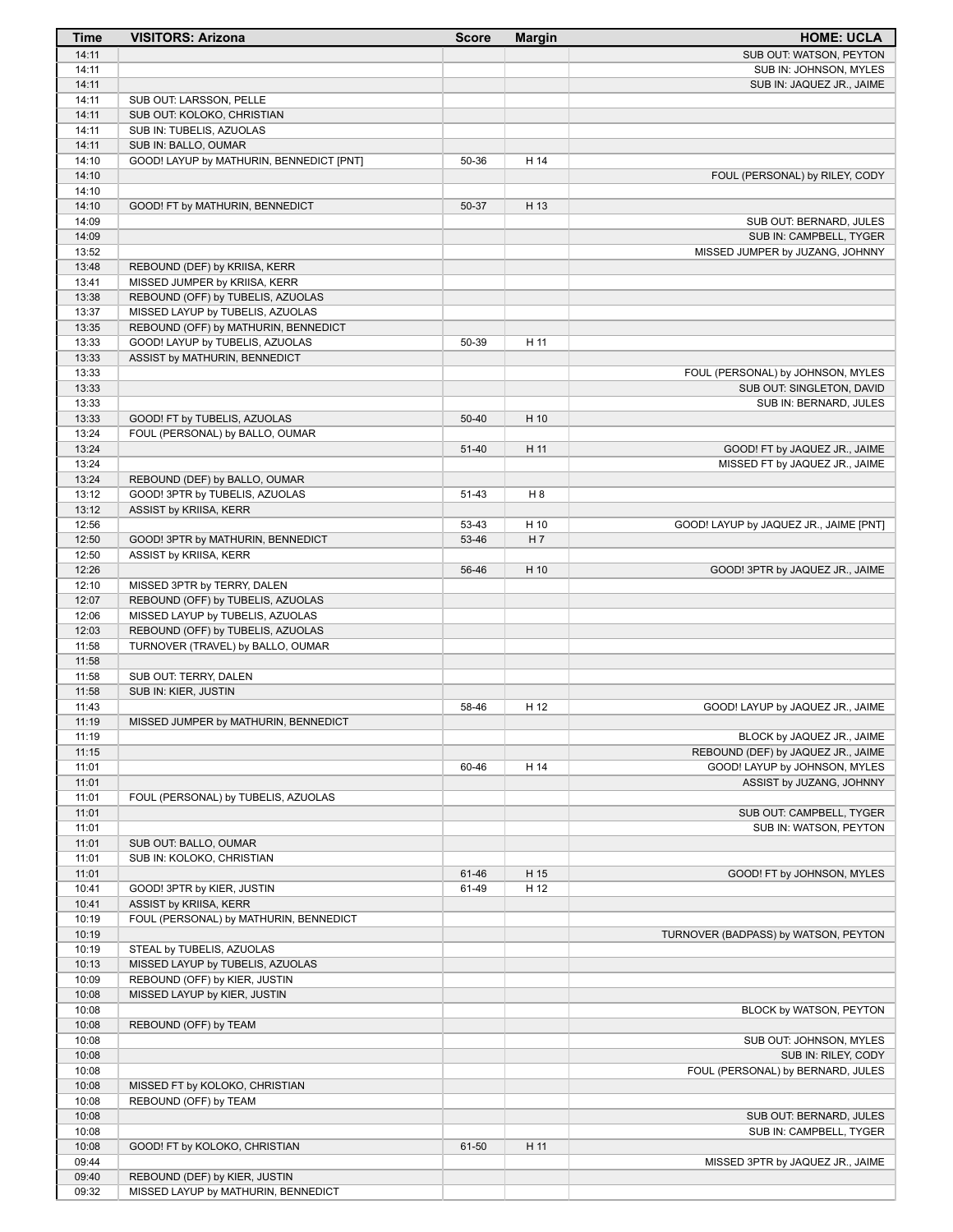| Time           | <b>VISITORS: Arizona</b>                                      | <b>Score</b> | <b>Margin</b> | <b>HOME: UCLA</b>                                               |
|----------------|---------------------------------------------------------------|--------------|---------------|-----------------------------------------------------------------|
| 14:11          |                                                               |              |               | SUB OUT: WATSON, PEYTON                                         |
| 14:11          |                                                               |              |               | SUB IN: JOHNSON, MYLES                                          |
| 14:11          |                                                               |              |               | SUB IN: JAQUEZ JR., JAIME                                       |
| 14:11          | SUB OUT: LARSSON, PELLE                                       |              |               |                                                                 |
| 14:11          | SUB OUT: KOLOKO, CHRISTIAN                                    |              |               |                                                                 |
| 14:11          | SUB IN: TUBELIS, AZUOLAS                                      |              |               |                                                                 |
| 14:11          | SUB IN: BALLO, OUMAR                                          |              |               |                                                                 |
| 14:10<br>14:10 | GOOD! LAYUP by MATHURIN, BENNEDICT [PNT]                      | 50-36        | H 14          |                                                                 |
| 14:10          |                                                               |              |               | FOUL (PERSONAL) by RILEY, CODY                                  |
| 14:10          | GOOD! FT by MATHURIN, BENNEDICT                               | 50-37        | H 13          |                                                                 |
| 14:09          |                                                               |              |               | SUB OUT: BERNARD, JULES                                         |
| 14:09          |                                                               |              |               | SUB IN: CAMPBELL, TYGER                                         |
| 13:52          |                                                               |              |               | MISSED JUMPER by JUZANG, JOHNNY                                 |
| 13:48          | REBOUND (DEF) by KRIISA, KERR                                 |              |               |                                                                 |
| 13:41          | MISSED JUMPER by KRIISA, KERR                                 |              |               |                                                                 |
| 13:38          | REBOUND (OFF) by TUBELIS, AZUOLAS                             |              |               |                                                                 |
| 13:37          | MISSED LAYUP by TUBELIS, AZUOLAS                              |              |               |                                                                 |
| 13:35          | REBOUND (OFF) by MATHURIN, BENNEDICT                          |              |               |                                                                 |
| 13:33          | GOOD! LAYUP by TUBELIS, AZUOLAS                               | 50-39        | H 11          |                                                                 |
| 13:33          | ASSIST by MATHURIN, BENNEDICT                                 |              |               |                                                                 |
| 13:33          |                                                               |              |               | FOUL (PERSONAL) by JOHNSON, MYLES                               |
| 13:33          |                                                               |              |               | SUB OUT: SINGLETON, DAVID                                       |
| 13:33          |                                                               |              |               | SUB IN: BERNARD, JULES                                          |
| 13:33          | GOOD! FT by TUBELIS, AZUOLAS                                  | 50-40        | H 10          |                                                                 |
| 13:24<br>13:24 | FOUL (PERSONAL) by BALLO, OUMAR                               | 51-40        | H 11          |                                                                 |
| 13:24          |                                                               |              |               | GOOD! FT by JAQUEZ JR., JAIME<br>MISSED FT by JAQUEZ JR., JAIME |
| 13:24          | REBOUND (DEF) by BALLO, OUMAR                                 |              |               |                                                                 |
| 13:12          | GOOD! 3PTR by TUBELIS, AZUOLAS                                | 51-43        | H 8           |                                                                 |
| 13:12          | ASSIST by KRIISA, KERR                                        |              |               |                                                                 |
| 12:56          |                                                               | 53-43        | H 10          | GOOD! LAYUP by JAQUEZ JR., JAIME [PNT]                          |
| 12:50          | GOOD! 3PTR by MATHURIN, BENNEDICT                             | 53-46        | H 7           |                                                                 |
| 12:50          | ASSIST by KRIISA, KERR                                        |              |               |                                                                 |
| 12:26          |                                                               | 56-46        | H 10          | GOOD! 3PTR by JAQUEZ JR., JAIME                                 |
| 12:10          | MISSED 3PTR by TERRY, DALEN                                   |              |               |                                                                 |
| 12:07          | REBOUND (OFF) by TUBELIS, AZUOLAS                             |              |               |                                                                 |
| 12:06          | MISSED LAYUP by TUBELIS, AZUOLAS                              |              |               |                                                                 |
| 12:03          | REBOUND (OFF) by TUBELIS, AZUOLAS                             |              |               |                                                                 |
| 11:58          | TURNOVER (TRAVEL) by BALLO, OUMAR                             |              |               |                                                                 |
| 11:58          |                                                               |              |               |                                                                 |
| 11:58          | SUB OUT: TERRY, DALEN                                         |              |               |                                                                 |
| 11:58<br>11:43 | SUB IN: KIER, JUSTIN                                          | 58-46        | H 12          | GOOD! LAYUP by JAQUEZ JR., JAIME                                |
| 11:19          | MISSED JUMPER by MATHURIN, BENNEDICT                          |              |               |                                                                 |
| 11:19          |                                                               |              |               | BLOCK by JAQUEZ JR., JAIME                                      |
| 11:15          |                                                               |              |               | REBOUND (DEF) by JAQUEZ JR., JAIME                              |
| 11:01          |                                                               | 60-46        | H 14          | GOOD! LAYUP by JOHNSON, MYLES                                   |
| 11:01          |                                                               |              |               | ASSIST by JUZANG, JOHNNY                                        |
| 11:01          | FOUL (PERSONAL) by TUBELIS, AZUOLAS                           |              |               |                                                                 |
| 11:01          |                                                               |              |               | SUB OUT: CAMPBELL, TYGER                                        |
| 11:01          |                                                               |              |               | SUB IN: WATSON, PEYTON                                          |
| 11:01          | SUB OUT: BALLO, OUMAR                                         |              |               |                                                                 |
| 11:01          | SUB IN: KOLOKO, CHRISTIAN                                     |              |               |                                                                 |
| 11:01          |                                                               | 61-46        | H 15          | GOOD! FT by JOHNSON, MYLES                                      |
| 10:41          | GOOD! 3PTR by KIER, JUSTIN                                    | 61-49        | H 12          |                                                                 |
| 10:41          | ASSIST by KRIISA, KERR                                        |              |               |                                                                 |
| 10:19          | FOUL (PERSONAL) by MATHURIN, BENNEDICT                        |              |               |                                                                 |
| 10:19          |                                                               |              |               | TURNOVER (BADPASS) by WATSON, PEYTON                            |
| 10:19          | STEAL by TUBELIS, AZUOLAS                                     |              |               |                                                                 |
| 10:13<br>10:09 | MISSED LAYUP by TUBELIS, AZUOLAS                              |              |               |                                                                 |
| 10:08          | REBOUND (OFF) by KIER, JUSTIN<br>MISSED LAYUP by KIER, JUSTIN |              |               |                                                                 |
| 10:08          |                                                               |              |               | BLOCK by WATSON, PEYTON                                         |
| 10:08          | REBOUND (OFF) by TEAM                                         |              |               |                                                                 |
| 10:08          |                                                               |              |               | SUB OUT: JOHNSON, MYLES                                         |
| 10:08          |                                                               |              |               | SUB IN: RILEY, CODY                                             |
| 10:08          |                                                               |              |               | FOUL (PERSONAL) by BERNARD, JULES                               |
| 10:08          | MISSED FT by KOLOKO, CHRISTIAN                                |              |               |                                                                 |
| 10:08          | REBOUND (OFF) by TEAM                                         |              |               |                                                                 |
| 10:08          |                                                               |              |               | SUB OUT: BERNARD, JULES                                         |
| 10:08          |                                                               |              |               | SUB IN: CAMPBELL, TYGER                                         |
| 10:08          | GOOD! FT by KOLOKO, CHRISTIAN                                 | 61-50        | H 11          |                                                                 |
| 09:44          |                                                               |              |               | MISSED 3PTR by JAQUEZ JR., JAIME                                |
| 09:40          | REBOUND (DEF) by KIER, JUSTIN                                 |              |               |                                                                 |
| 09:32          | MISSED LAYUP by MATHURIN, BENNEDICT                           |              |               |                                                                 |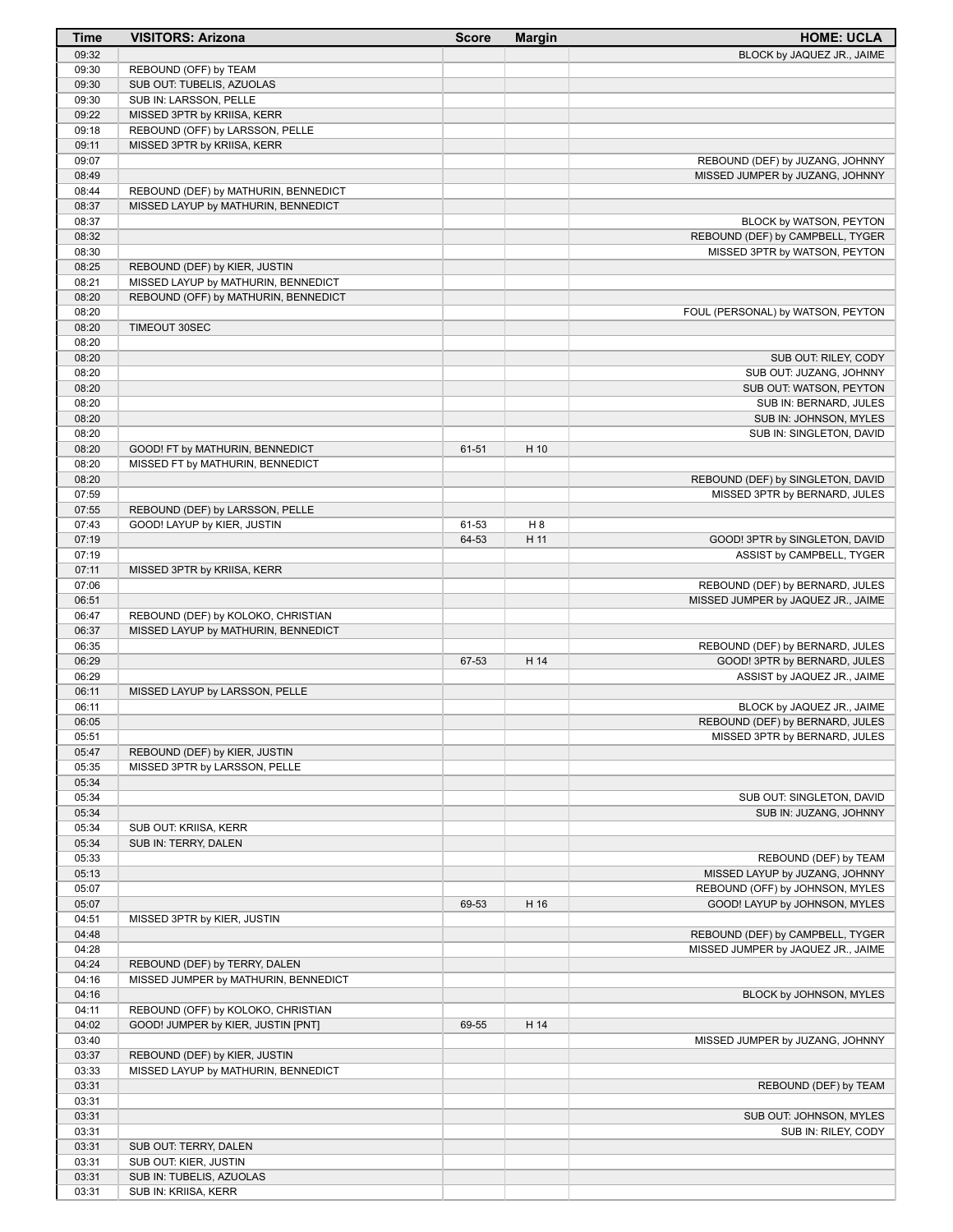| Time  | <b>VISITORS: Arizona</b>             | <b>Score</b> | <b>Margin</b> | <b>HOME: UCLA</b>                  |
|-------|--------------------------------------|--------------|---------------|------------------------------------|
| 09:32 |                                      |              |               | BLOCK by JAQUEZ JR., JAIME         |
| 09:30 | REBOUND (OFF) by TEAM                |              |               |                                    |
| 09:30 | SUB OUT: TUBELIS, AZUOLAS            |              |               |                                    |
| 09:30 | SUB IN: LARSSON, PELLE               |              |               |                                    |
| 09:22 | MISSED 3PTR by KRIISA, KERR          |              |               |                                    |
| 09:18 | REBOUND (OFF) by LARSSON, PELLE      |              |               |                                    |
| 09:11 | MISSED 3PTR by KRIISA, KERR          |              |               |                                    |
| 09:07 |                                      |              |               | REBOUND (DEF) by JUZANG, JOHNNY    |
| 08:49 |                                      |              |               | MISSED JUMPER by JUZANG, JOHNNY    |
| 08:44 | REBOUND (DEF) by MATHURIN, BENNEDICT |              |               |                                    |
| 08:37 | MISSED LAYUP by MATHURIN, BENNEDICT  |              |               |                                    |
| 08:37 |                                      |              |               | BLOCK by WATSON, PEYTON            |
| 08:32 |                                      |              |               | REBOUND (DEF) by CAMPBELL, TYGER   |
| 08:30 |                                      |              |               | MISSED 3PTR by WATSON, PEYTON      |
| 08:25 | REBOUND (DEF) by KIER, JUSTIN        |              |               |                                    |
| 08:21 | MISSED LAYUP by MATHURIN, BENNEDICT  |              |               |                                    |
| 08:20 | REBOUND (OFF) by MATHURIN, BENNEDICT |              |               |                                    |
| 08:20 |                                      |              |               | FOUL (PERSONAL) by WATSON, PEYTON  |
| 08:20 | TIMEOUT 30SEC                        |              |               |                                    |
| 08:20 |                                      |              |               |                                    |
| 08:20 |                                      |              |               | SUB OUT: RILEY, CODY               |
| 08:20 |                                      |              |               | SUB OUT: JUZANG, JOHNNY            |
| 08:20 |                                      |              |               | SUB OUT: WATSON, PEYTON            |
| 08:20 |                                      |              |               | SUB IN: BERNARD, JULES             |
| 08:20 |                                      |              |               | SUB IN: JOHNSON, MYLES             |
| 08:20 |                                      |              |               | SUB IN: SINGLETON, DAVID           |
| 08:20 | GOOD! FT by MATHURIN, BENNEDICT      | 61-51        | H 10          |                                    |
| 08:20 | MISSED FT by MATHURIN, BENNEDICT     |              |               |                                    |
| 08:20 |                                      |              |               | REBOUND (DEF) by SINGLETON, DAVID  |
| 07:59 |                                      |              |               | MISSED 3PTR by BERNARD, JULES      |
| 07:55 | REBOUND (DEF) by LARSSON, PELLE      |              |               |                                    |
| 07:43 | GOOD! LAYUP by KIER, JUSTIN          | 61-53        | H 8           |                                    |
| 07:19 |                                      | 64-53        | H 11          | GOOD! 3PTR by SINGLETON, DAVID     |
| 07:19 |                                      |              |               | ASSIST by CAMPBELL, TYGER          |
| 07:11 | MISSED 3PTR by KRIISA, KERR          |              |               |                                    |
| 07:06 |                                      |              |               | REBOUND (DEF) by BERNARD, JULES    |
| 06:51 |                                      |              |               | MISSED JUMPER by JAQUEZ JR., JAIME |
| 06:47 | REBOUND (DEF) by KOLOKO, CHRISTIAN   |              |               |                                    |
| 06:37 | MISSED LAYUP by MATHURIN, BENNEDICT  |              |               |                                    |
| 06:35 |                                      |              |               | REBOUND (DEF) by BERNARD, JULES    |
| 06:29 |                                      | 67-53        | H 14          | GOOD! 3PTR by BERNARD, JULES       |
| 06:29 |                                      |              |               | ASSIST by JAQUEZ JR., JAIME        |
| 06:11 | MISSED LAYUP by LARSSON, PELLE       |              |               |                                    |
| 06:11 |                                      |              |               | BLOCK by JAQUEZ JR., JAIME         |
| 06:05 |                                      |              |               | REBOUND (DEF) by BERNARD, JULES    |
| 05:51 |                                      |              |               | MISSED 3PTR by BERNARD, JULES      |
| 05:47 | REBOUND (DEF) by KIER, JUSTIN        |              |               |                                    |
| 05:35 | MISSED 3PTR by LARSSON, PELLE        |              |               |                                    |
| 05:34 |                                      |              |               |                                    |
| 05:34 |                                      |              |               | SUB OUT: SINGLETON, DAVID          |
| 05:34 |                                      |              |               | SUB IN: JUZANG, JOHNNY             |
| 05:34 | SUB OUT: KRIISA, KERR                |              |               |                                    |
| 05:34 | SUB IN: TERRY, DALEN                 |              |               |                                    |
| 05:33 |                                      |              |               | REBOUND (DEF) by TEAM              |
| 05:13 |                                      |              |               | MISSED LAYUP by JUZANG, JOHNNY     |
| 05:07 |                                      |              |               | REBOUND (OFF) by JOHNSON, MYLES    |
| 05:07 |                                      | 69-53        | H 16          | GOOD! LAYUP by JOHNSON, MYLES      |
| 04:51 | MISSED 3PTR by KIER, JUSTIN          |              |               |                                    |
| 04:48 |                                      |              |               | REBOUND (DEF) by CAMPBELL, TYGER   |
| 04:28 |                                      |              |               | MISSED JUMPER by JAQUEZ JR., JAIME |
| 04:24 | REBOUND (DEF) by TERRY, DALEN        |              |               |                                    |
| 04:16 | MISSED JUMPER by MATHURIN, BENNEDICT |              |               |                                    |
| 04:16 |                                      |              |               | BLOCK by JOHNSON, MYLES            |
| 04:11 | REBOUND (OFF) by KOLOKO, CHRISTIAN   |              |               |                                    |
| 04:02 | GOOD! JUMPER by KIER, JUSTIN [PNT]   | 69-55        | H 14          |                                    |
| 03:40 |                                      |              |               | MISSED JUMPER by JUZANG, JOHNNY    |
| 03:37 | REBOUND (DEF) by KIER, JUSTIN        |              |               |                                    |
| 03:33 | MISSED LAYUP by MATHURIN, BENNEDICT  |              |               |                                    |
| 03:31 |                                      |              |               | REBOUND (DEF) by TEAM              |
| 03:31 |                                      |              |               |                                    |
| 03:31 |                                      |              |               | SUB OUT: JOHNSON, MYLES            |
| 03:31 |                                      |              |               | SUB IN: RILEY, CODY                |
| 03:31 | SUB OUT: TERRY, DALEN                |              |               |                                    |
| 03:31 | SUB OUT: KIER, JUSTIN                |              |               |                                    |
| 03:31 | SUB IN: TUBELIS, AZUOLAS             |              |               |                                    |
| 03:31 | SUB IN: KRIISA, KERR                 |              |               |                                    |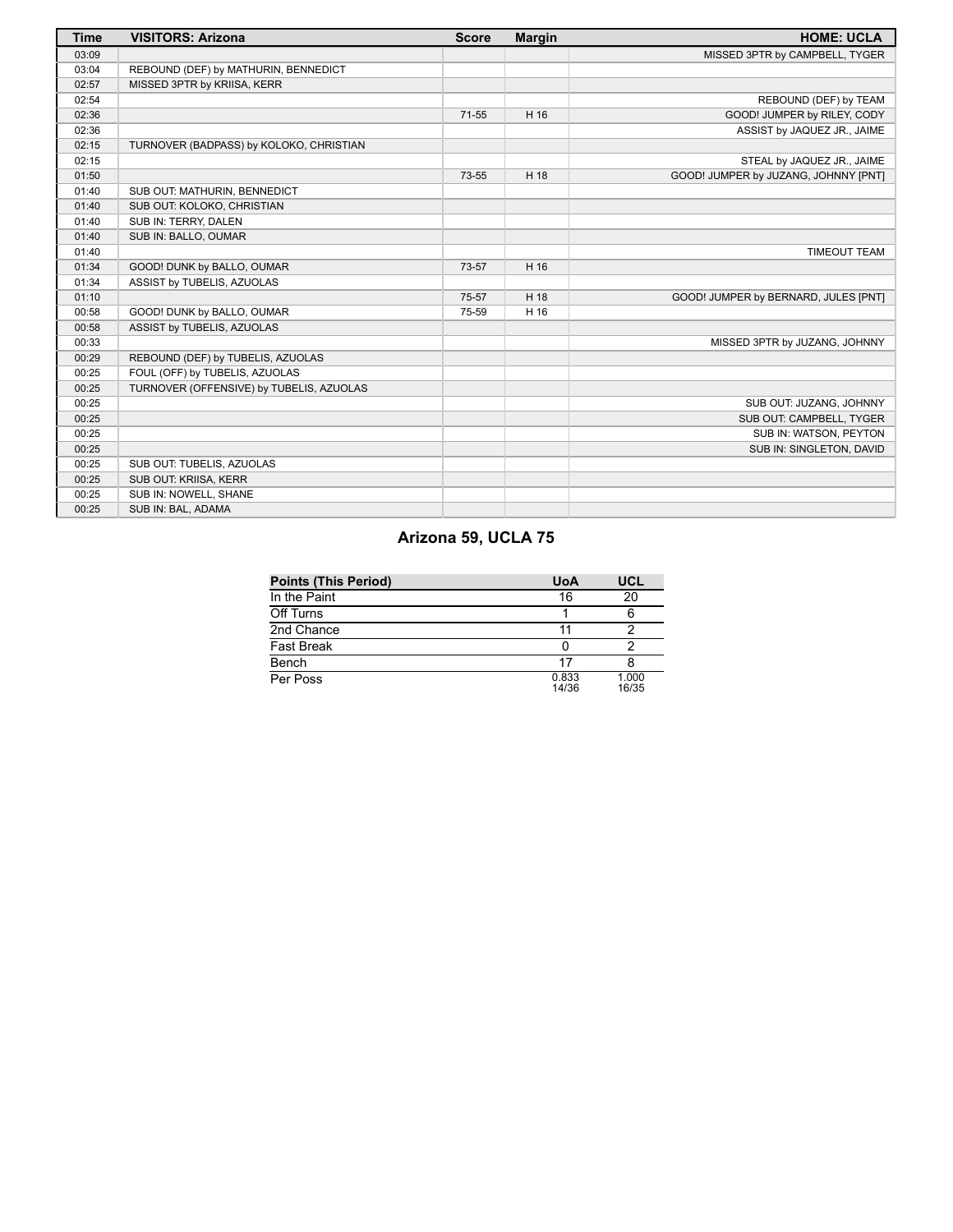| <b>Time</b> | <b>VISITORS: Arizona</b>                 | <b>Score</b> | <b>Margin</b> | <b>HOME: UCLA</b>                    |
|-------------|------------------------------------------|--------------|---------------|--------------------------------------|
| 03:09       |                                          |              |               | MISSED 3PTR by CAMPBELL, TYGER       |
| 03:04       | REBOUND (DEF) by MATHURIN, BENNEDICT     |              |               |                                      |
| 02:57       | MISSED 3PTR by KRIISA, KERR              |              |               |                                      |
| 02:54       |                                          |              |               | REBOUND (DEF) by TEAM                |
| 02:36       |                                          | $71 - 55$    | H 16          | GOOD! JUMPER by RILEY, CODY          |
| 02:36       |                                          |              |               | ASSIST by JAQUEZ JR., JAIME          |
| 02:15       | TURNOVER (BADPASS) by KOLOKO, CHRISTIAN  |              |               |                                      |
| 02:15       |                                          |              |               | STEAL by JAQUEZ JR., JAIME           |
| 01:50       |                                          | 73-55        | H 18          | GOOD! JUMPER by JUZANG, JOHNNY [PNT] |
| 01:40       | SUB OUT: MATHURIN, BENNEDICT             |              |               |                                      |
| 01:40       | SUB OUT: KOLOKO, CHRISTIAN               |              |               |                                      |
| 01:40       | SUB IN: TERRY, DALEN                     |              |               |                                      |
| 01:40       | SUB IN: BALLO, OUMAR                     |              |               |                                      |
| 01:40       |                                          |              |               | <b>TIMEOUT TEAM</b>                  |
| 01:34       | GOOD! DUNK by BALLO, OUMAR               | 73-57        | H 16          |                                      |
| 01:34       | ASSIST by TUBELIS, AZUOLAS               |              |               |                                      |
| 01:10       |                                          | 75-57        | H 18          | GOOD! JUMPER by BERNARD, JULES [PNT] |
| 00:58       | GOOD! DUNK by BALLO, OUMAR               | 75-59        | H 16          |                                      |
| 00:58       | ASSIST by TUBELIS, AZUOLAS               |              |               |                                      |
| 00:33       |                                          |              |               | MISSED 3PTR by JUZANG, JOHNNY        |
| 00:29       | REBOUND (DEF) by TUBELIS, AZUOLAS        |              |               |                                      |
| 00:25       | FOUL (OFF) by TUBELIS, AZUOLAS           |              |               |                                      |
| 00:25       | TURNOVER (OFFENSIVE) by TUBELIS, AZUOLAS |              |               |                                      |
| 00:25       |                                          |              |               | SUB OUT: JUZANG, JOHNNY              |
| 00:25       |                                          |              |               | SUB OUT: CAMPBELL, TYGER             |
| 00:25       |                                          |              |               | SUB IN: WATSON, PEYTON               |
| 00:25       |                                          |              |               | SUB IN: SINGLETON, DAVID             |
| 00:25       | SUB OUT: TUBELIS, AZUOLAS                |              |               |                                      |
| 00:25       | SUB OUT: KRIISA, KERR                    |              |               |                                      |
| 00:25       | SUB IN: NOWELL, SHANE                    |              |               |                                      |
| 00:25       | SUB IN: BAL, ADAMA                       |              |               |                                      |

# **Arizona 59, UCLA 75**

| <b>Points (This Period)</b> | <b>UoA</b>     | UCL            |
|-----------------------------|----------------|----------------|
| In the Paint                | 16             | 20             |
| Off Turns                   |                |                |
| 2nd Chance                  |                |                |
| Fast Break                  |                |                |
| Bench                       | 17             |                |
| Per Poss                    | 0.833<br>14/36 | 1.000<br>16/35 |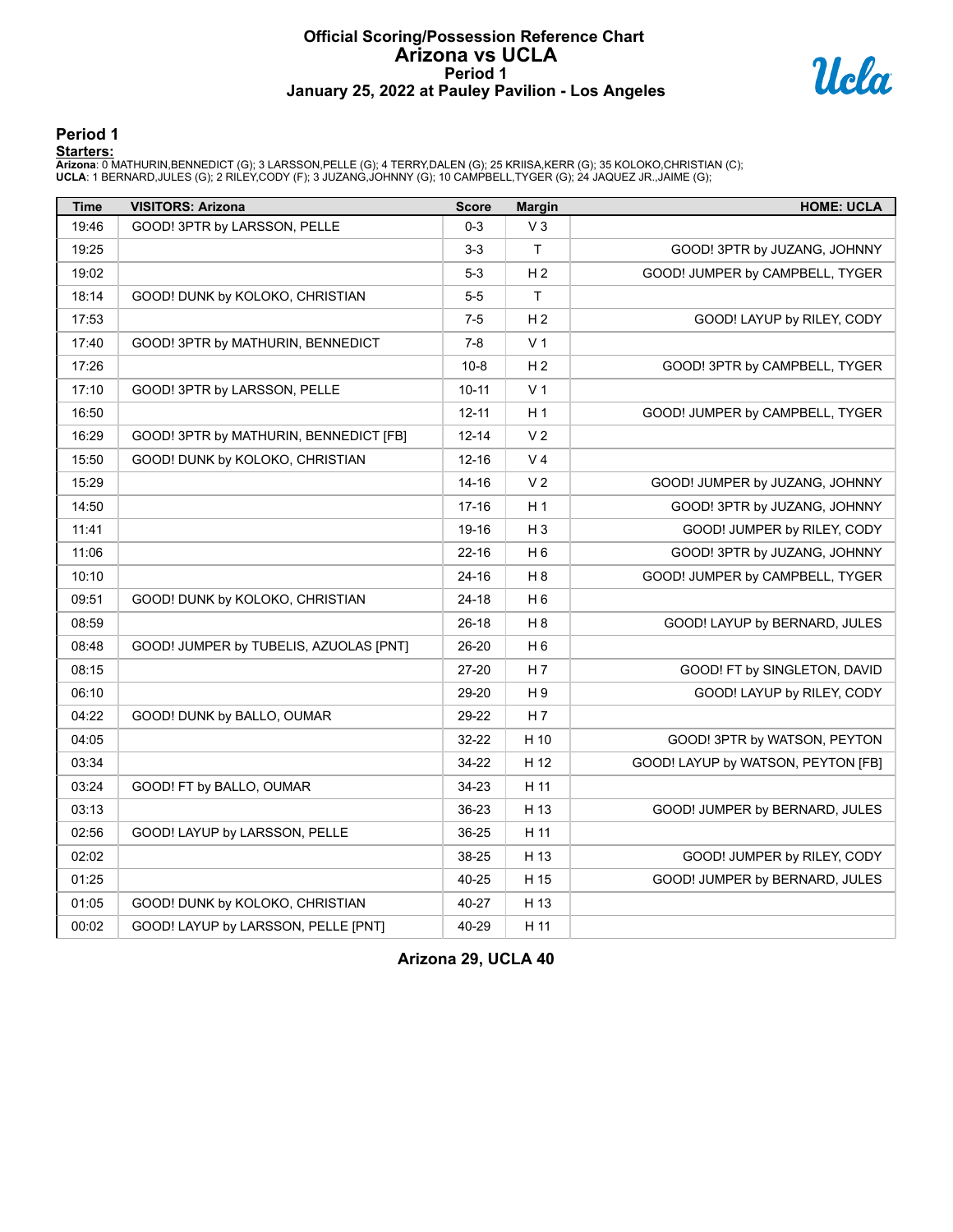# **Official Scoring/Possession Reference Chart Arizona vs UCLA Period 1 January 25, 2022 at Pauley Pavilion - Los Angeles**



**Period 1**

#### **Starters:**

Arizona: 0 MATHURIN,BENNEDICT (G); 3 LARSSON,PELLE (G); 4 TERRY,DALEN (G); 25 KRIISA,KERR (G); 35 KOLOKO,CHRISTIAN (C);<br>**UCLA**: 1 BERNARD,JULES (G); 2 RILEY,CODY (F); 3 JUZANG,JOHNNY (G); 10 CAMPBELL,TYGER (G); 24 JAQUEZ J

| <b>Time</b> | <b>VISITORS: Arizona</b>               | <b>Score</b> | <b>Margin</b>  | <b>HOME: UCLA</b>                  |
|-------------|----------------------------------------|--------------|----------------|------------------------------------|
| 19:46       | GOOD! 3PTR by LARSSON, PELLE           | $0 - 3$      | $V_3$          |                                    |
| 19:25       |                                        | $3 - 3$      | $\mathsf{T}$   | GOOD! 3PTR by JUZANG, JOHNNY       |
| 19:02       |                                        | $5-3$        | H <sub>2</sub> | GOOD! JUMPER by CAMPBELL, TYGER    |
| 18:14       | GOOD! DUNK by KOLOKO, CHRISTIAN        | $5-5$        | $\top$         |                                    |
| 17:53       |                                        | $7 - 5$      | H <sub>2</sub> | GOOD! LAYUP by RILEY, CODY         |
| 17:40       | GOOD! 3PTR by MATHURIN, BENNEDICT      | $7-8$        | V <sub>1</sub> |                                    |
| 17:26       |                                        | $10 - 8$     | H <sub>2</sub> | GOOD! 3PTR by CAMPBELL, TYGER      |
| 17:10       | GOOD! 3PTR by LARSSON, PELLE           | $10 - 11$    | V <sub>1</sub> |                                    |
| 16:50       |                                        | $12 - 11$    | H <sub>1</sub> | GOOD! JUMPER by CAMPBELL, TYGER    |
| 16:29       | GOOD! 3PTR by MATHURIN, BENNEDICT [FB] | $12 - 14$    | V <sub>2</sub> |                                    |
| 15:50       | GOOD! DUNK by KOLOKO, CHRISTIAN        | $12 - 16$    | V <sub>4</sub> |                                    |
| 15:29       |                                        | 14-16        | V <sub>2</sub> | GOOD! JUMPER by JUZANG, JOHNNY     |
| 14:50       |                                        | $17 - 16$    | H1             | GOOD! 3PTR by JUZANG, JOHNNY       |
| 11:41       |                                        | 19-16        | $H_3$          | GOOD! JUMPER by RILEY, CODY        |
| 11:06       |                                        | $22 - 16$    | H <sub>6</sub> | GOOD! 3PTR by JUZANG, JOHNNY       |
| 10:10       |                                        | 24-16        | H <sub>8</sub> | GOOD! JUMPER by CAMPBELL, TYGER    |
| 09:51       | GOOD! DUNK by KOLOKO, CHRISTIAN        | 24-18        | H <sub>6</sub> |                                    |
| 08:59       |                                        | $26 - 18$    | H <sub>8</sub> | GOOD! LAYUP by BERNARD, JULES      |
| 08:48       | GOOD! JUMPER by TUBELIS, AZUOLAS [PNT] | 26-20        | H <sub>6</sub> |                                    |
| 08:15       |                                        | 27-20        | H <sub>7</sub> | GOOD! FT by SINGLETON, DAVID       |
| 06:10       |                                        | 29-20        | H 9            | GOOD! LAYUP by RILEY, CODY         |
| 04:22       | GOOD! DUNK by BALLO, OUMAR             | 29-22        | H 7            |                                    |
| 04:05       |                                        | 32-22        | H 10           | GOOD! 3PTR by WATSON, PEYTON       |
| 03:34       |                                        | 34-22        | H 12           | GOOD! LAYUP by WATSON, PEYTON [FB] |
| 03:24       | GOOD! FT by BALLO, OUMAR               | 34-23        | H 11           |                                    |
| 03:13       |                                        | 36-23        | H 13           | GOOD! JUMPER by BERNARD, JULES     |
| 02:56       | GOOD! LAYUP by LARSSON, PELLE          | 36-25        | H 11           |                                    |
| 02:02       |                                        | 38-25        | H 13           | GOOD! JUMPER by RILEY, CODY        |
| 01:25       |                                        | 40-25        | H 15           | GOOD! JUMPER by BERNARD, JULES     |
| 01:05       | GOOD! DUNK by KOLOKO, CHRISTIAN        | 40-27        | H 13           |                                    |
| 00:02       | GOOD! LAYUP by LARSSON, PELLE [PNT]    | 40-29        | H 11           |                                    |

**Arizona 29, UCLA 40**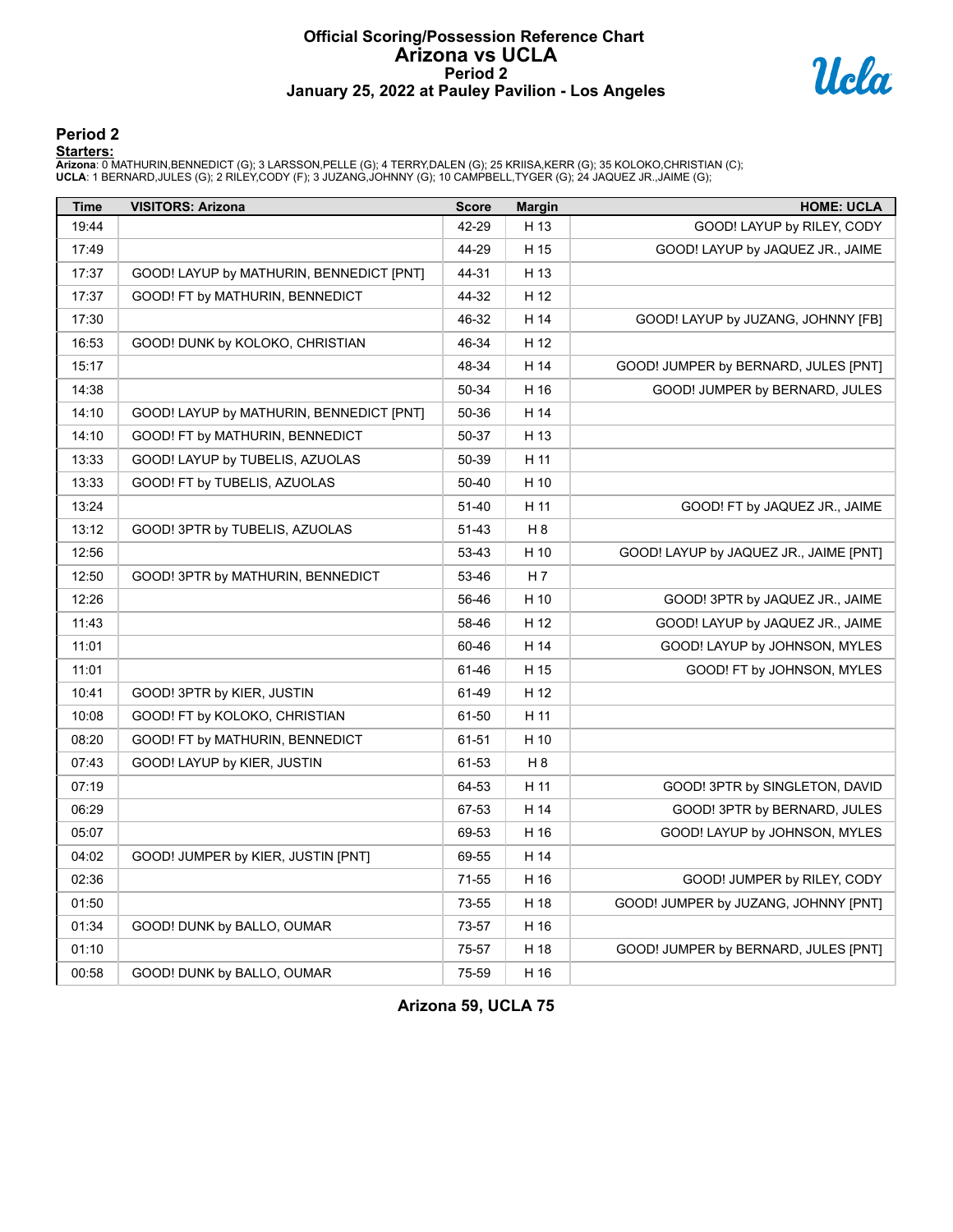# **Official Scoring/Possession Reference Chart Arizona vs UCLA Period 2 January 25, 2022 at Pauley Pavilion - Los Angeles**



#### **Period 2**

#### **Starters:**

Arizona: 0 MATHURIN,BENNEDICT (G); 3 LARSSON,PELLE (G); 4 TERRY,DALEN (G); 25 KRIISA,KERR (G); 35 KOLOKO,CHRISTIAN (C);<br>**UCLA**: 1 BERNARD,JULES (G); 2 RILEY,CODY (F); 3 JUZANG,JOHNNY (G); 10 CAMPBELL,TYGER (G); 24 JAQUEZ J

| <b>Time</b> | <b>VISITORS: Arizona</b>                 | <b>Score</b> | <b>Margin</b> | <b>HOME: UCLA</b>                      |
|-------------|------------------------------------------|--------------|---------------|----------------------------------------|
| 19:44       |                                          | 42-29        | H 13          | GOOD! LAYUP by RILEY, CODY             |
| 17:49       |                                          | 44-29        | H 15          | GOOD! LAYUP by JAQUEZ JR., JAIME       |
| 17:37       | GOOD! LAYUP by MATHURIN, BENNEDICT [PNT] | 44-31        | H 13          |                                        |
| 17:37       | GOOD! FT by MATHURIN, BENNEDICT          | 44-32        | H 12          |                                        |
| 17:30       |                                          | 46-32        | H 14          | GOOD! LAYUP by JUZANG, JOHNNY [FB]     |
| 16:53       | GOOD! DUNK by KOLOKO, CHRISTIAN          | 46-34        | H 12          |                                        |
| 15:17       |                                          | 48-34        | H 14          | GOOD! JUMPER by BERNARD, JULES [PNT]   |
| 14:38       |                                          | 50-34        | H 16          | GOOD! JUMPER by BERNARD, JULES         |
| 14:10       | GOOD! LAYUP by MATHURIN, BENNEDICT [PNT] | 50-36        | H 14          |                                        |
| 14:10       | GOOD! FT by MATHURIN, BENNEDICT          | 50-37        | H 13          |                                        |
| 13:33       | GOOD! LAYUP by TUBELIS, AZUOLAS          | 50-39        | H 11          |                                        |
| 13:33       | GOOD! FT by TUBELIS, AZUOLAS             | 50-40        | H 10          |                                        |
| 13:24       |                                          | 51-40        | H 11          | GOOD! FT by JAQUEZ JR., JAIME          |
| 13:12       | GOOD! 3PTR by TUBELIS, AZUOLAS           | 51-43        | H 8           |                                        |
| 12:56       |                                          | 53-43        | H 10          | GOOD! LAYUP by JAQUEZ JR., JAIME [PNT] |
| 12:50       | GOOD! 3PTR by MATHURIN, BENNEDICT        | 53-46        | H 7           |                                        |
| 12:26       |                                          | 56-46        | H 10          | GOOD! 3PTR by JAQUEZ JR., JAIME        |
| 11:43       |                                          | 58-46        | H 12          | GOOD! LAYUP by JAQUEZ JR., JAIME       |
| 11:01       |                                          | 60-46        | H 14          | GOOD! LAYUP by JOHNSON, MYLES          |
| 11:01       |                                          | 61-46        | H 15          | GOOD! FT by JOHNSON, MYLES             |
| 10:41       | GOOD! 3PTR by KIER, JUSTIN               | 61-49        | H 12          |                                        |
| 10:08       | GOOD! FT by KOLOKO, CHRISTIAN            | 61-50        | H 11          |                                        |
| 08:20       | GOOD! FT by MATHURIN, BENNEDICT          | 61-51        | H 10          |                                        |
| 07:43       | GOOD! LAYUP by KIER, JUSTIN              | 61-53        | H 8           |                                        |
| 07:19       |                                          | 64-53        | H 11          | GOOD! 3PTR by SINGLETON, DAVID         |
| 06:29       |                                          | 67-53        | H 14          | GOOD! 3PTR by BERNARD, JULES           |
| 05:07       |                                          | 69-53        | H 16          | GOOD! LAYUP by JOHNSON, MYLES          |
| 04:02       | GOOD! JUMPER by KIER, JUSTIN [PNT]       | 69-55        | H 14          |                                        |
| 02:36       |                                          | 71-55        | H 16          | GOOD! JUMPER by RILEY, CODY            |
| 01:50       |                                          | 73-55        | H 18          | GOOD! JUMPER by JUZANG, JOHNNY [PNT]   |
| 01:34       | GOOD! DUNK by BALLO, OUMAR               | 73-57        | H 16          |                                        |
| 01:10       |                                          | 75-57        | H 18          | GOOD! JUMPER by BERNARD, JULES [PNT]   |
| 00:58       | GOOD! DUNK by BALLO, OUMAR               | 75-59        | H 16          |                                        |

**Arizona 59, UCLA 75**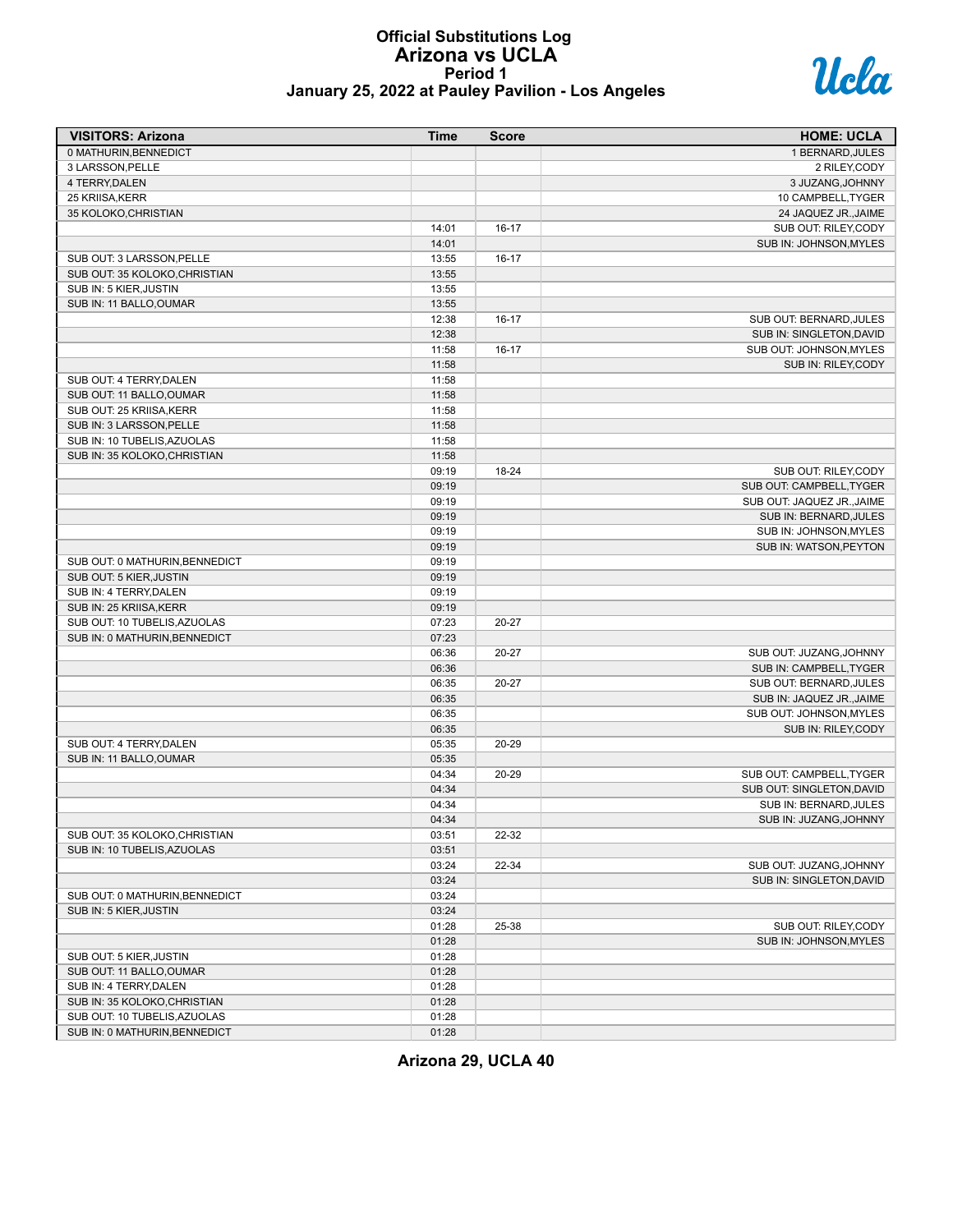# **Official Substitutions Log Arizona vs UCLA Period 1 January 25, 2022 at Pauley Pavilion - Los Angeles**



| <b>VISITORS: Arizona</b>       | <b>Time</b> | <b>Score</b> | <b>HOME: UCLA</b>                                      |
|--------------------------------|-------------|--------------|--------------------------------------------------------|
| 0 MATHURIN, BENNEDICT          |             |              | 1 BERNARD, JULES                                       |
| 3 LARSSON, PELLE               |             |              | 2 RILEY, CODY                                          |
| 4 TERRY, DALEN                 |             |              | 3 JUZANG, JOHNNY                                       |
| 25 KRIISA, KERR                |             |              | 10 CAMPBELL, TYGER                                     |
| 35 KOLOKO, CHRISTIAN           |             |              | 24 JAQUEZ JR., JAIME                                   |
|                                | 14:01       | $16-17$      | SUB OUT: RILEY,CODY                                    |
|                                | 14:01       |              | SUB IN: JOHNSON, MYLES                                 |
| SUB OUT: 3 LARSSON, PELLE      | 13:55       | $16-17$      |                                                        |
| SUB OUT: 35 KOLOKO, CHRISTIAN  | 13:55       |              |                                                        |
| SUB IN: 5 KIER, JUSTIN         | 13:55       |              |                                                        |
| SUB IN: 11 BALLO, OUMAR        | 13:55       |              |                                                        |
|                                | 12:38       | $16-17$      | SUB OUT: BERNARD, JULES                                |
|                                | 12:38       |              | SUB IN: SINGLETON, DAVID                               |
|                                | 11:58       | $16-17$      | SUB OUT: JOHNSON, MYLES                                |
|                                | 11:58       |              | SUB IN: RILEY, CODY                                    |
| SUB OUT: 4 TERRY, DALEN        | 11:58       |              |                                                        |
| SUB OUT: 11 BALLO, OUMAR       | 11:58       |              |                                                        |
| SUB OUT: 25 KRIISA, KERR       | 11:58       |              |                                                        |
| SUB IN: 3 LARSSON, PELLE       | 11:58       |              |                                                        |
| SUB IN: 10 TUBELIS, AZUOLAS    | 11:58       |              |                                                        |
| SUB IN: 35 KOLOKO, CHRISTIAN   | 11:58       |              |                                                        |
|                                | 09:19       | 18-24        | SUB OUT: RILEY, CODY                                   |
|                                |             |              |                                                        |
|                                | 09:19       |              | SUB OUT: CAMPBELL, TYGER<br>SUB OUT: JAQUEZ JR., JAIME |
|                                | 09:19       |              |                                                        |
|                                | 09:19       |              | SUB IN: BERNARD, JULES                                 |
|                                | 09:19       |              | SUB IN: JOHNSON, MYLES                                 |
|                                | 09:19       |              | SUB IN: WATSON, PEYTON                                 |
| SUB OUT: 0 MATHURIN, BENNEDICT | 09:19       |              |                                                        |
| SUB OUT: 5 KIER, JUSTIN        | 09:19       |              |                                                        |
| SUB IN: 4 TERRY, DALEN         | 09:19       |              |                                                        |
| SUB IN: 25 KRIISA, KERR        | 09:19       |              |                                                        |
| SUB OUT: 10 TUBELIS, AZUOLAS   | 07:23       | 20-27        |                                                        |
| SUB IN: 0 MATHURIN, BENNEDICT  | 07:23       |              |                                                        |
|                                | 06:36       | $20 - 27$    | SUB OUT: JUZANG, JOHNNY                                |
|                                | 06:36       |              | SUB IN: CAMPBELL, TYGER                                |
|                                | 06:35       | 20-27        | SUB OUT: BERNARD, JULES                                |
|                                | 06:35       |              | SUB IN: JAQUEZ JR., JAIME                              |
|                                | 06:35       |              | SUB OUT: JOHNSON, MYLES                                |
|                                | 06:35       |              | SUB IN: RILEY, CODY                                    |
| SUB OUT: 4 TERRY, DALEN        | 05:35       | 20-29        |                                                        |
| SUB IN: 11 BALLO, OUMAR        | 05:35       |              |                                                        |
|                                | 04:34       | 20-29        | SUB OUT: CAMPBELL, TYGER                               |
|                                | 04:34       |              | SUB OUT: SINGLETON, DAVID                              |
|                                | 04:34       |              | SUB IN: BERNARD, JULES                                 |
|                                | 04:34       |              | SUB IN: JUZANG, JOHNNY                                 |
| SUB OUT: 35 KOLOKO, CHRISTIAN  | 03:51       | 22-32        |                                                        |
| SUB IN: 10 TUBELIS, AZUOLAS    | 03:51       |              |                                                        |
|                                | 03:24       | 22-34        | SUB OUT: JUZANG, JOHNNY                                |
|                                | 03:24       |              | SUB IN: SINGLETON, DAVID                               |
| SUB OUT: 0 MATHURIN, BENNEDICT | 03:24       |              |                                                        |
| SUB IN: 5 KIER, JUSTIN         | 03:24       |              |                                                        |
|                                | 01:28       | 25-38        | SUB OUT: RILEY, CODY                                   |
|                                | 01:28       |              | SUB IN: JOHNSON, MYLES                                 |
| SUB OUT: 5 KIER, JUSTIN        | 01:28       |              |                                                        |
| SUB OUT: 11 BALLO, OUMAR       | 01:28       |              |                                                        |
| SUB IN: 4 TERRY, DALEN         | 01:28       |              |                                                        |
| SUB IN: 35 KOLOKO, CHRISTIAN   | 01:28       |              |                                                        |
| SUB OUT: 10 TUBELIS, AZUOLAS   | 01:28       |              |                                                        |
| SUB IN: 0 MATHURIN, BENNEDICT  | 01:28       |              |                                                        |
|                                |             |              |                                                        |

**Arizona 29, UCLA 40**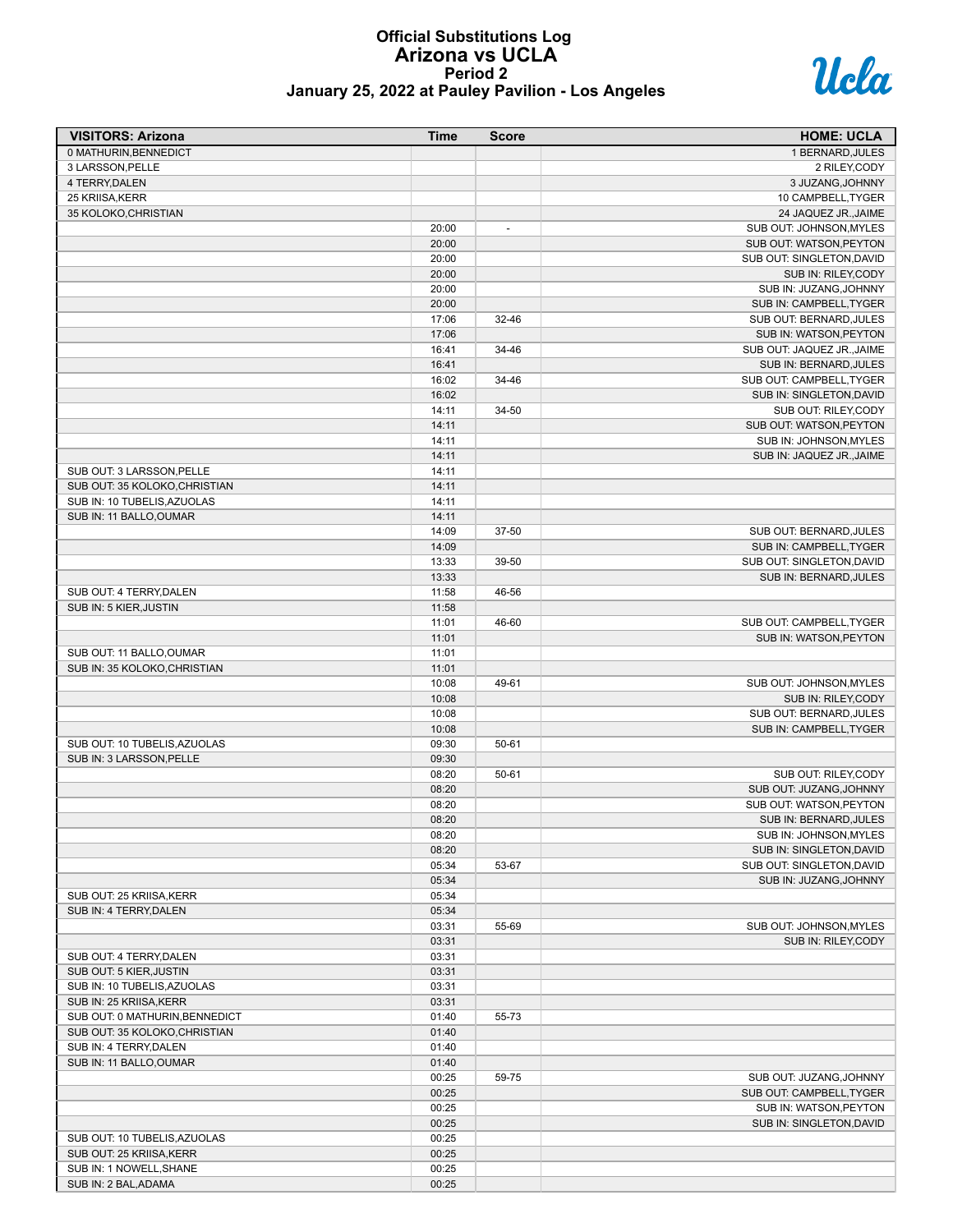# **Official Substitutions Log Arizona vs UCLA Period 2 January 25, 2022 at Pauley Pavilion - Los Angeles**



| <b>VISITORS: Arizona</b>       | Time  | <b>Score</b>             | <b>HOME: UCLA</b>          |
|--------------------------------|-------|--------------------------|----------------------------|
| 0 MATHURIN, BENNEDICT          |       |                          | 1 BERNARD, JULES           |
| 3 LARSSON, PELLE               |       |                          | 2 RILEY, CODY              |
| 4 TERRY, DALEN                 |       |                          | 3 JUZANG, JOHNNY           |
| 25 KRIISA, KERR                |       |                          | 10 CAMPBELL, TYGER         |
| 35 KOLOKO, CHRISTIAN           |       |                          | 24 JAQUEZ JR., JAIME       |
|                                | 20:00 | $\overline{\phantom{a}}$ | SUB OUT: JOHNSON, MYLES    |
|                                | 20:00 |                          | SUB OUT: WATSON, PEYTON    |
|                                | 20:00 |                          | SUB OUT: SINGLETON, DAVID  |
|                                | 20:00 |                          | SUB IN: RILEY, CODY        |
|                                | 20:00 |                          | SUB IN: JUZANG, JOHNNY     |
|                                | 20:00 |                          | SUB IN: CAMPBELL, TYGER    |
|                                | 17:06 | 32-46                    | SUB OUT: BERNARD, JULES    |
|                                | 17:06 |                          | SUB IN: WATSON, PEYTON     |
|                                | 16:41 | 34-46                    | SUB OUT: JAQUEZ JR., JAIME |
|                                | 16:41 |                          | SUB IN: BERNARD, JULES     |
|                                | 16:02 | 34-46                    | SUB OUT: CAMPBELL, TYGER   |
|                                | 16:02 |                          | SUB IN: SINGLETON, DAVID   |
|                                | 14:11 | 34-50                    | SUB OUT: RILEY, CODY       |
|                                | 14:11 |                          | SUB OUT: WATSON, PEYTON    |
|                                | 14:11 |                          | SUB IN: JOHNSON, MYLES     |
|                                | 14:11 |                          | SUB IN: JAQUEZ JR., JAIME  |
| SUB OUT: 3 LARSSON, PELLE      | 14:11 |                          |                            |
| SUB OUT: 35 KOLOKO, CHRISTIAN  | 14:11 |                          |                            |
| SUB IN: 10 TUBELIS, AZUOLAS    | 14:11 |                          |                            |
| SUB IN: 11 BALLO, OUMAR        | 14:11 |                          |                            |
|                                | 14:09 | 37-50                    | SUB OUT: BERNARD, JULES    |
|                                | 14:09 |                          | SUB IN: CAMPBELL.TYGER     |
|                                | 13:33 | 39-50                    | SUB OUT: SINGLETON, DAVID  |
|                                | 13:33 |                          | SUB IN: BERNARD, JULES     |
| SUB OUT: 4 TERRY, DALEN        | 11:58 | 46-56                    |                            |
| SUB IN: 5 KIER, JUSTIN         | 11:58 |                          |                            |
|                                | 11:01 | 46-60                    | SUB OUT: CAMPBELL, TYGER   |
|                                | 11:01 |                          | SUB IN: WATSON, PEYTON     |
| SUB OUT: 11 BALLO, OUMAR       | 11:01 |                          |                            |
| SUB IN: 35 KOLOKO, CHRISTIAN   | 11:01 |                          |                            |
|                                | 10:08 | 49-61                    | SUB OUT: JOHNSON, MYLES    |
|                                | 10:08 |                          | SUB IN: RILEY,CODY         |
|                                | 10:08 |                          | SUB OUT: BERNARD, JULES    |
|                                | 10:08 |                          | SUB IN: CAMPBELL, TYGER    |
| SUB OUT: 10 TUBELIS, AZUOLAS   | 09:30 | $50 - 61$                |                            |
| SUB IN: 3 LARSSON, PELLE       | 09:30 |                          |                            |
|                                | 08:20 | $50 - 61$                | SUB OUT: RILEY,CODY        |
|                                | 08:20 |                          | SUB OUT: JUZANG, JOHNNY    |
|                                | 08:20 |                          | SUB OUT: WATSON, PEYTON    |
|                                | 08:20 |                          | SUB IN: BERNARD, JULES     |
|                                | 08:20 |                          | SUB IN: JOHNSON, MYLES     |
|                                | 08:20 |                          | SUB IN: SINGLETON, DAVID   |
|                                | 05:34 | 53-67                    | SUB OUT: SINGLETON, DAVID  |
|                                | 05:34 |                          | SUB IN: JUZANG, JOHNNY     |
| SUB OUT: 25 KRIISA, KERR       | 05:34 |                          |                            |
| SUB IN: 4 TERRY, DALEN         | 05:34 |                          |                            |
|                                | 03:31 | 55-69                    | SUB OUT: JOHNSON, MYLES    |
|                                | 03:31 |                          | SUB IN: RILEY, CODY        |
| SUB OUT: 4 TERRY, DALEN        | 03:31 |                          |                            |
| SUB OUT: 5 KIER, JUSTIN        | 03:31 |                          |                            |
| SUB IN: 10 TUBELIS, AZUOLAS    | 03:31 |                          |                            |
| SUB IN: 25 KRIISA, KERR        | 03:31 |                          |                            |
| SUB OUT: 0 MATHURIN, BENNEDICT | 01:40 | 55-73                    |                            |
| SUB OUT: 35 KOLOKO, CHRISTIAN  | 01:40 |                          |                            |
| SUB IN: 4 TERRY, DALEN         | 01:40 |                          |                            |
| SUB IN: 11 BALLO, OUMAR        | 01:40 |                          |                            |
|                                | 00:25 | 59-75                    | SUB OUT: JUZANG, JOHNNY    |
|                                | 00:25 |                          | SUB OUT: CAMPBELL, TYGER   |
|                                | 00:25 |                          | SUB IN: WATSON, PEYTON     |
|                                | 00:25 |                          | SUB IN: SINGLETON, DAVID   |
| SUB OUT: 10 TUBELIS, AZUOLAS   | 00:25 |                          |                            |
| SUB OUT: 25 KRIISA, KERR       | 00:25 |                          |                            |
| SUB IN: 1 NOWELL, SHANE        | 00:25 |                          |                            |
| SUB IN: 2 BAL, ADAMA           | 00:25 |                          |                            |
|                                |       |                          |                            |